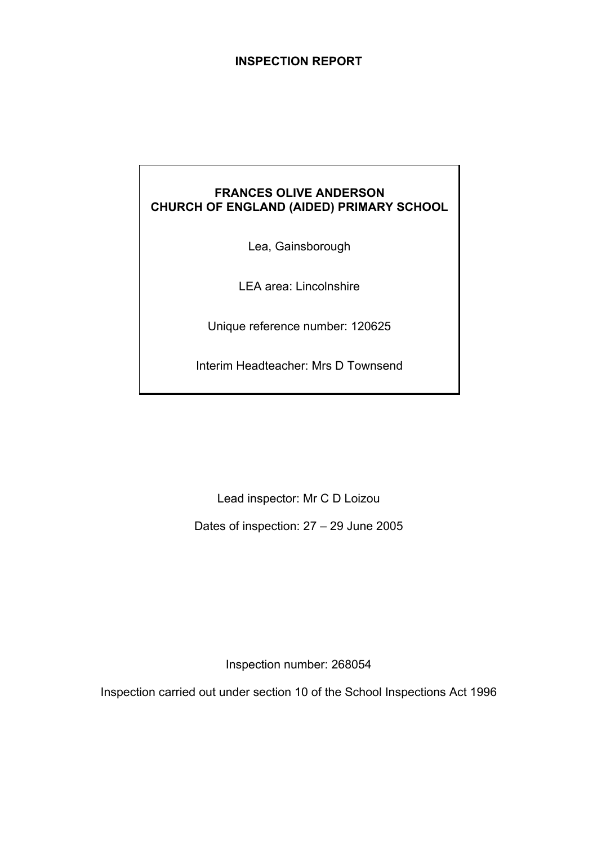# **INSPECTION REPORT**

# **FRANCES OLIVE ANDERSON CHURCH OF ENGLAND (AIDED) PRIMARY SCHOOL**

Lea, Gainsborough

LEA area: Lincolnshire

Unique reference number: 120625

Interim Headteacher: Mrs D Townsend

Lead inspector: Mr C D Loizou

Dates of inspection: 27 – 29 June 2005

Inspection number: 268054

Inspection carried out under section 10 of the School Inspections Act 1996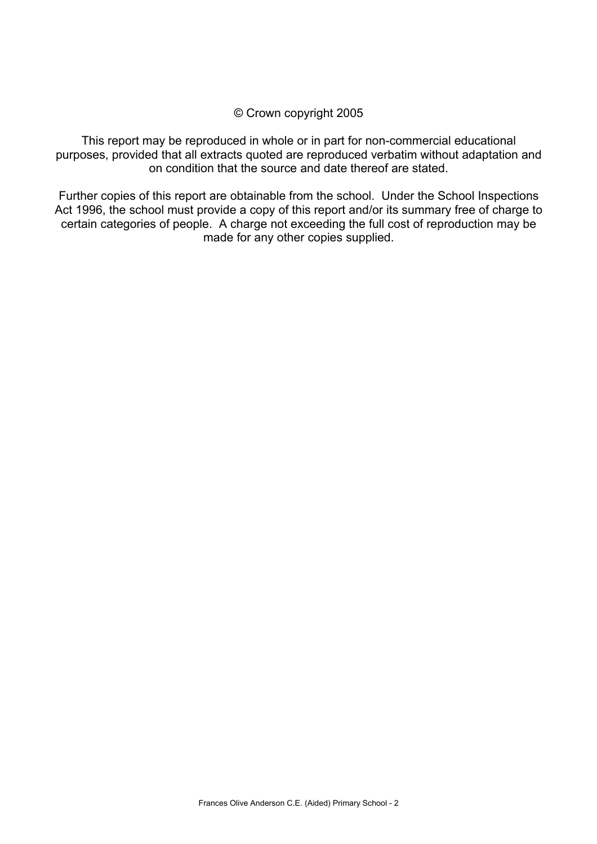# © Crown copyright 2005

This report may be reproduced in whole or in part for non-commercial educational purposes, provided that all extracts quoted are reproduced verbatim without adaptation and on condition that the source and date thereof are stated.

Further copies of this report are obtainable from the school. Under the School Inspections Act 1996, the school must provide a copy of this report and/or its summary free of charge to certain categories of people. A charge not exceeding the full cost of reproduction may be made for any other copies supplied.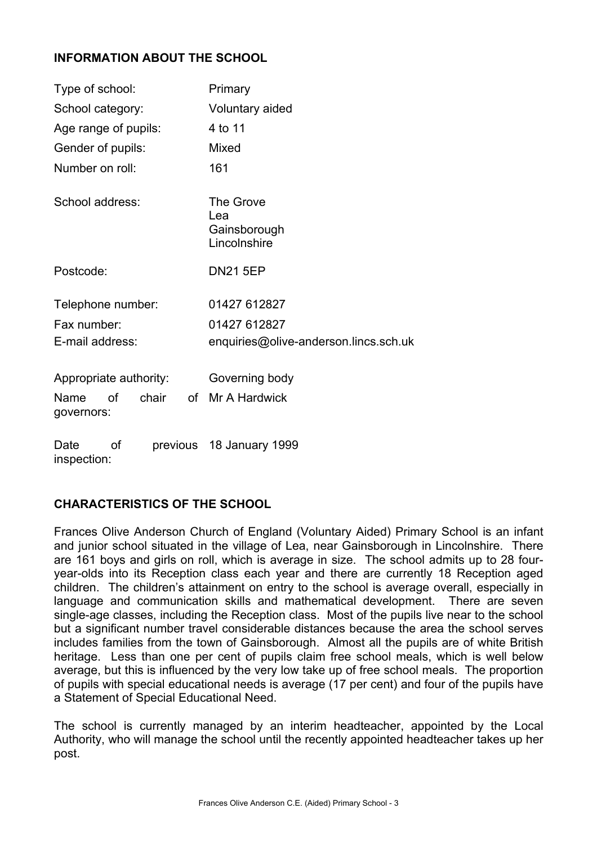# **INFORMATION ABOUT THE SCHOOL**

| Type of school:                               | Primary                                          |  |  |
|-----------------------------------------------|--------------------------------------------------|--|--|
| School category:                              | Voluntary aided                                  |  |  |
| Age range of pupils:                          | 4 to 11                                          |  |  |
| Gender of pupils:                             | Mixed                                            |  |  |
| Number on roll:                               | 161                                              |  |  |
| School address:                               | The Grove<br>Lea<br>Gainsborough<br>Lincolnshire |  |  |
| Postcode:                                     | <b>DN21 5EP</b>                                  |  |  |
| Telephone number:                             | 01427 612827                                     |  |  |
| Fax number:                                   | 01427 612827                                     |  |  |
| E-mail address:                               | enquiries@olive-anderson.lincs.sch.uk            |  |  |
| Appropriate authority:<br>chair<br>οf<br>Name | Governing body<br>of Mr A Hardwick               |  |  |
| governors:                                    |                                                  |  |  |
| <b>of</b><br>Date<br>previous<br>inspection:  | 18 January 1999                                  |  |  |

# **CHARACTERISTICS OF THE SCHOOL**

Frances Olive Anderson Church of England (Voluntary Aided) Primary School is an infant and junior school situated in the village of Lea, near Gainsborough in Lincolnshire. There are 161 boys and girls on roll, which is average in size. The school admits up to 28 fouryear-olds into its Reception class each year and there are currently 18 Reception aged children. The children's attainment on entry to the school is average overall, especially in language and communication skills and mathematical development. There are seven single-age classes, including the Reception class. Most of the pupils live near to the school but a significant number travel considerable distances because the area the school serves includes families from the town of Gainsborough. Almost all the pupils are of white British heritage. Less than one per cent of pupils claim free school meals, which is well below average, but this is influenced by the very low take up of free school meals. The proportion of pupils with special educational needs is average (17 per cent) and four of the pupils have a Statement of Special Educational Need.

The school is currently managed by an interim headteacher, appointed by the Local Authority, who will manage the school until the recently appointed headteacher takes up her post.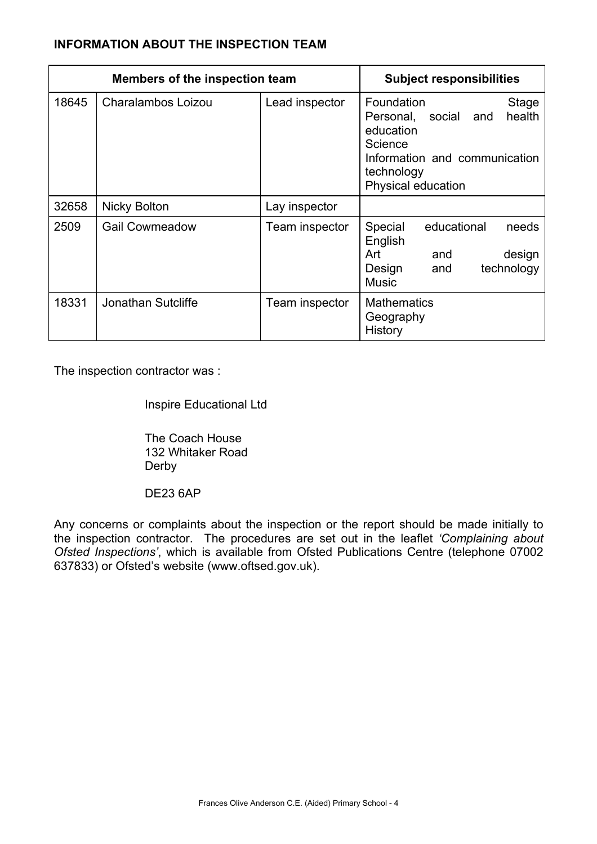# **INFORMATION ABOUT THE INSPECTION TEAM**

| <b>Members of the inspection team</b> |                       |                | <b>Subject responsibilities</b>                                                                                                                                 |
|---------------------------------------|-----------------------|----------------|-----------------------------------------------------------------------------------------------------------------------------------------------------------------|
| 18645                                 | Charalambos Loizou    | Lead inspector | Foundation<br><b>Stage</b><br>health<br>Personal,<br>social<br>and<br>education<br>Science<br>Information and communication<br>technology<br>Physical education |
| 32658                                 | <b>Nicky Bolton</b>   | Lay inspector  |                                                                                                                                                                 |
| 2509                                  | <b>Gail Cowmeadow</b> | Team inspector | educational<br>Special<br>needs<br>English<br>Art<br>design<br>and<br>technology<br>Design<br>and<br><b>Music</b>                                               |
| 18331                                 | Jonathan Sutcliffe    | Team inspector | <b>Mathematics</b><br>Geography<br>History                                                                                                                      |

The inspection contractor was :

Inspire Educational Ltd

 The Coach House 132 Whitaker Road Derby

DE23 6AP

Any concerns or complaints about the inspection or the report should be made initially to the inspection contractor. The procedures are set out in the leaflet *'Complaining about Ofsted Inspections'*, which is available from Ofsted Publications Centre (telephone 07002 637833) or Ofsted's website (www.oftsed.gov.uk).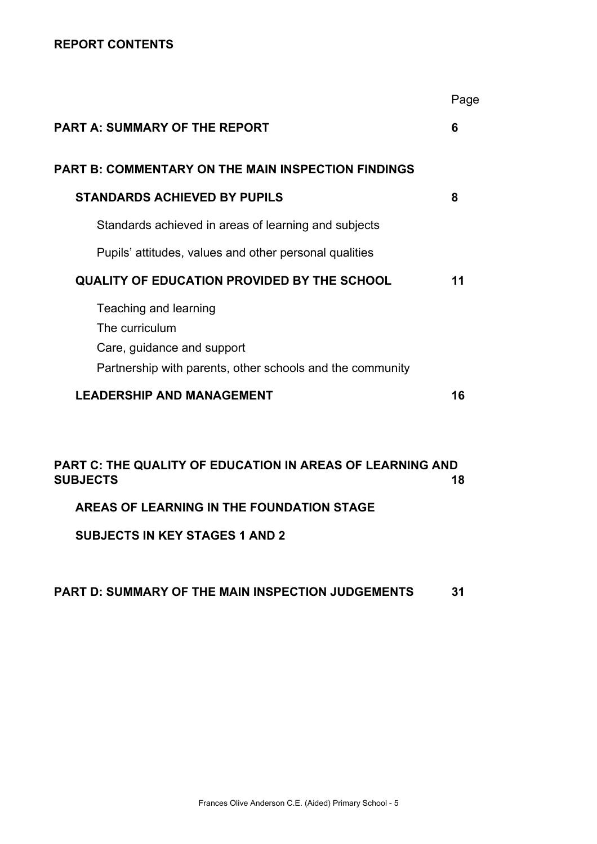# **REPORT CONTENTS**

|                                                                                                                                    | Page |
|------------------------------------------------------------------------------------------------------------------------------------|------|
| <b>PART A: SUMMARY OF THE REPORT</b>                                                                                               | 6    |
| <b>PART B: COMMENTARY ON THE MAIN INSPECTION FINDINGS</b>                                                                          |      |
| <b>STANDARDS ACHIEVED BY PUPILS</b>                                                                                                | 8    |
| Standards achieved in areas of learning and subjects                                                                               |      |
| Pupils' attitudes, values and other personal qualities                                                                             |      |
| <b>QUALITY OF EDUCATION PROVIDED BY THE SCHOOL</b>                                                                                 | 11   |
| Teaching and learning<br>The curriculum<br>Care, guidance and support<br>Partnership with parents, other schools and the community |      |
| <b>LEADERSHIP AND MANAGEMENT</b>                                                                                                   | 16   |
|                                                                                                                                    |      |
| PART C: THE QUALITY OF EDUCATION IN AREAS OF LEARNING AND<br><b>SUBJECTS</b>                                                       | 18   |
| AREAS OF LEARNING IN THE FOUNDATION STAGE                                                                                          |      |
| <b>SUBJECTS IN KEY STAGES 1 AND 2</b>                                                                                              |      |
|                                                                                                                                    |      |

**PART D: SUMMARY OF THE MAIN INSPECTION JUDGEMENTS 31**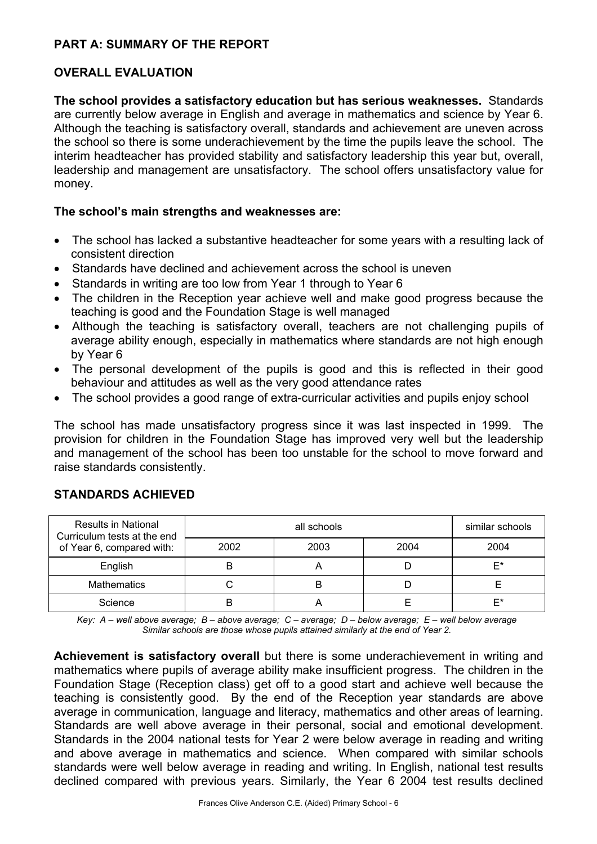# **PART A: SUMMARY OF THE REPORT**

# **OVERALL EVALUATION**

**The school provides a satisfactory education but has serious weaknesses.** Standards are currently below average in English and average in mathematics and science by Year 6. Although the teaching is satisfactory overall, standards and achievement are uneven across the school so there is some underachievement by the time the pupils leave the school. The interim headteacher has provided stability and satisfactory leadership this year but, overall, leadership and management are unsatisfactory. The school offers unsatisfactory value for money.

# **The school's main strengths and weaknesses are:**

- The school has lacked a substantive headteacher for some years with a resulting lack of consistent direction
- Standards have declined and achievement across the school is uneven
- Standards in writing are too low from Year 1 through to Year 6
- The children in the Reception year achieve well and make good progress because the teaching is good and the Foundation Stage is well managed
- Although the teaching is satisfactory overall, teachers are not challenging pupils of average ability enough, especially in mathematics where standards are not high enough by Year 6
- The personal development of the pupils is good and this is reflected in their good behaviour and attitudes as well as the very good attendance rates
- The school provides a good range of extra-curricular activities and pupils enjoy school

The school has made unsatisfactory progress since it was last inspected in 1999. The provision for children in the Foundation Stage has improved very well but the leadership and management of the school has been too unstable for the school to move forward and raise standards consistently.

| <b>Results in National</b><br>Curriculum tests at the end |      | similar schools |  |    |  |
|-----------------------------------------------------------|------|-----------------|--|----|--|
| of Year 6, compared with:                                 | 2002 | 2003<br>2004    |  |    |  |
| English                                                   |      |                 |  | F* |  |
| <b>Mathematics</b>                                        |      |                 |  |    |  |
| Science                                                   |      |                 |  | F* |  |

# **STANDARDS ACHIEVED**

*Key: A – well above average; B – above average; C – average; D – below average; E – well below average Similar schools are those whose pupils attained similarly at the end of Year 2.* 

**Achievement is satisfactory overall** but there is some underachievement in writing and mathematics where pupils of average ability make insufficient progress. The children in the Foundation Stage (Reception class) get off to a good start and achieve well because the teaching is consistently good. By the end of the Reception year standards are above average in communication, language and literacy, mathematics and other areas of learning. Standards are well above average in their personal, social and emotional development. Standards in the 2004 national tests for Year 2 were below average in reading and writing and above average in mathematics and science. When compared with similar schools standards were well below average in reading and writing. In English, national test results declined compared with previous years. Similarly, the Year 6 2004 test results declined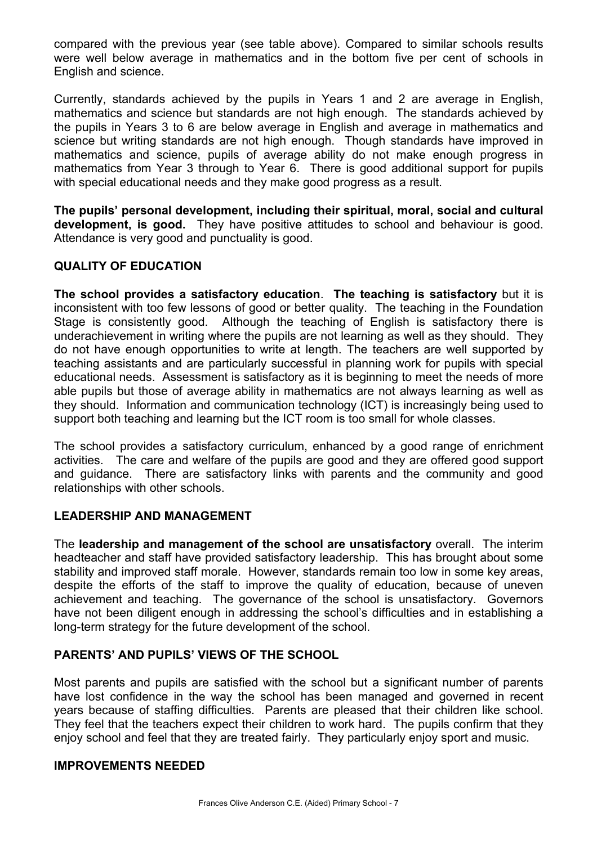compared with the previous year (see table above). Compared to similar schools results were well below average in mathematics and in the bottom five per cent of schools in English and science.

Currently, standards achieved by the pupils in Years 1 and 2 are average in English, mathematics and science but standards are not high enough. The standards achieved by the pupils in Years 3 to 6 are below average in English and average in mathematics and science but writing standards are not high enough. Though standards have improved in mathematics and science, pupils of average ability do not make enough progress in mathematics from Year 3 through to Year 6. There is good additional support for pupils with special educational needs and they make good progress as a result.

**The pupils' personal development, including their spiritual, moral, social and cultural development, is good.** They have positive attitudes to school and behaviour is good. Attendance is very good and punctuality is good.

# **QUALITY OF EDUCATION**

**The school provides a satisfactory education**. **The teaching is satisfactory** but it is inconsistent with too few lessons of good or better quality. The teaching in the Foundation Stage is consistently good. Although the teaching of English is satisfactory there is underachievement in writing where the pupils are not learning as well as they should. They do not have enough opportunities to write at length. The teachers are well supported by teaching assistants and are particularly successful in planning work for pupils with special educational needs. Assessment is satisfactory as it is beginning to meet the needs of more able pupils but those of average ability in mathematics are not always learning as well as they should. Information and communication technology (ICT) is increasingly being used to support both teaching and learning but the ICT room is too small for whole classes.

The school provides a satisfactory curriculum, enhanced by a good range of enrichment activities. The care and welfare of the pupils are good and they are offered good support and guidance. There are satisfactory links with parents and the community and good relationships with other schools.

# **LEADERSHIP AND MANAGEMENT**

The **leadership and management of the school are unsatisfactory** overall. The interim headteacher and staff have provided satisfactory leadership. This has brought about some stability and improved staff morale. However, standards remain too low in some key areas, despite the efforts of the staff to improve the quality of education, because of uneven achievement and teaching. The governance of the school is unsatisfactory. Governors have not been diligent enough in addressing the school's difficulties and in establishing a long-term strategy for the future development of the school.

# **PARENTS' AND PUPILS' VIEWS OF THE SCHOOL**

Most parents and pupils are satisfied with the school but a significant number of parents have lost confidence in the way the school has been managed and governed in recent years because of staffing difficulties. Parents are pleased that their children like school. They feel that the teachers expect their children to work hard. The pupils confirm that they enjoy school and feel that they are treated fairly. They particularly enjoy sport and music.

#### **IMPROVEMENTS NEEDED**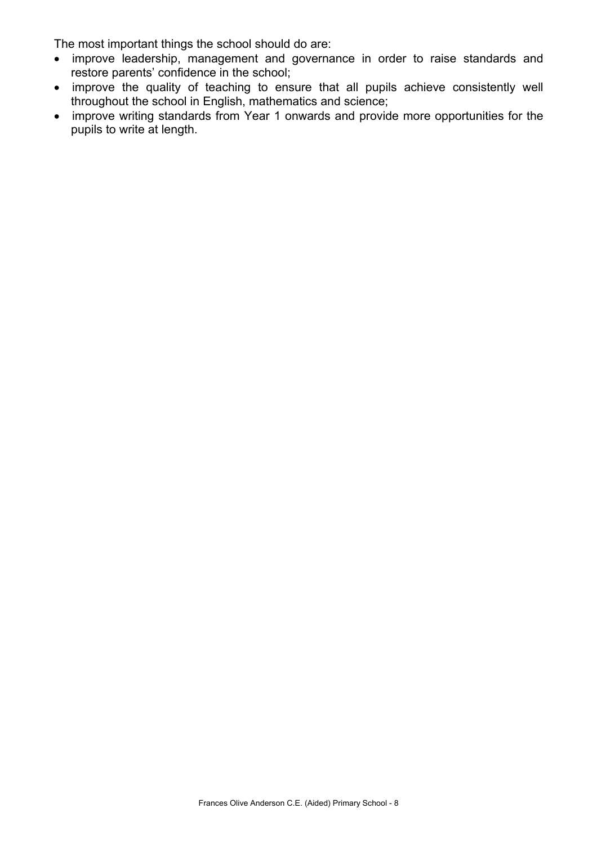The most important things the school should do are:

- improve leadership, management and governance in order to raise standards and restore parents' confidence in the school;
- improve the quality of teaching to ensure that all pupils achieve consistently well throughout the school in English, mathematics and science;
- improve writing standards from Year 1 onwards and provide more opportunities for the pupils to write at length.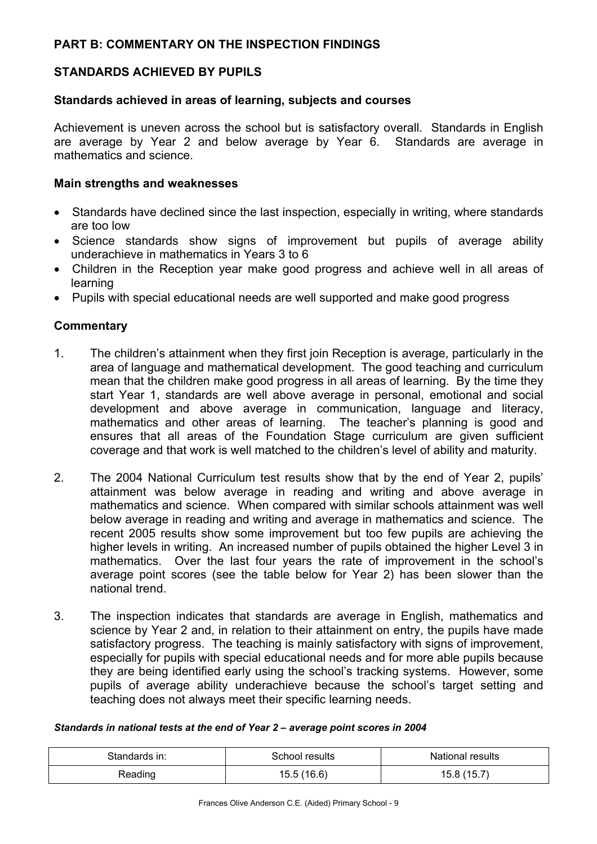# **PART B: COMMENTARY ON THE INSPECTION FINDINGS**

# **STANDARDS ACHIEVED BY PUPILS**

### **Standards achieved in areas of learning, subjects and courses**

Achievement is uneven across the school but is satisfactory overall. Standards in English are average by Year 2 and below average by Year 6. Standards are average in mathematics and science.

### **Main strengths and weaknesses**

- Standards have declined since the last inspection, especially in writing, where standards are too low
- Science standards show signs of improvement but pupils of average ability underachieve in mathematics in Years 3 to 6
- Children in the Reception year make good progress and achieve well in all areas of learning
- Pupils with special educational needs are well supported and make good progress

# **Commentary**

- 1. The children's attainment when they first join Reception is average, particularly in the area of language and mathematical development. The good teaching and curriculum mean that the children make good progress in all areas of learning. By the time they start Year 1, standards are well above average in personal, emotional and social development and above average in communication, language and literacy, mathematics and other areas of learning. The teacher's planning is good and ensures that all areas of the Foundation Stage curriculum are given sufficient coverage and that work is well matched to the children's level of ability and maturity.
- 2. The 2004 National Curriculum test results show that by the end of Year 2, pupils' attainment was below average in reading and writing and above average in mathematics and science. When compared with similar schools attainment was well below average in reading and writing and average in mathematics and science. The recent 2005 results show some improvement but too few pupils are achieving the higher levels in writing. An increased number of pupils obtained the higher Level 3 in mathematics. Over the last four years the rate of improvement in the school's average point scores (see the table below for Year 2) has been slower than the national trend.
- 3. The inspection indicates that standards are average in English, mathematics and science by Year 2 and, in relation to their attainment on entry, the pupils have made satisfactory progress. The teaching is mainly satisfactory with signs of improvement, especially for pupils with special educational needs and for more able pupils because they are being identified early using the school's tracking systems. However, some pupils of average ability underachieve because the school's target setting and teaching does not always meet their specific learning needs.

#### *Standards in national tests at the end of Year 2 – average point scores in 2004*

| Standards in: | School results | National results |
|---------------|----------------|------------------|
| Reading       | 15.5 (16.6)    | 15.8 (15.7)      |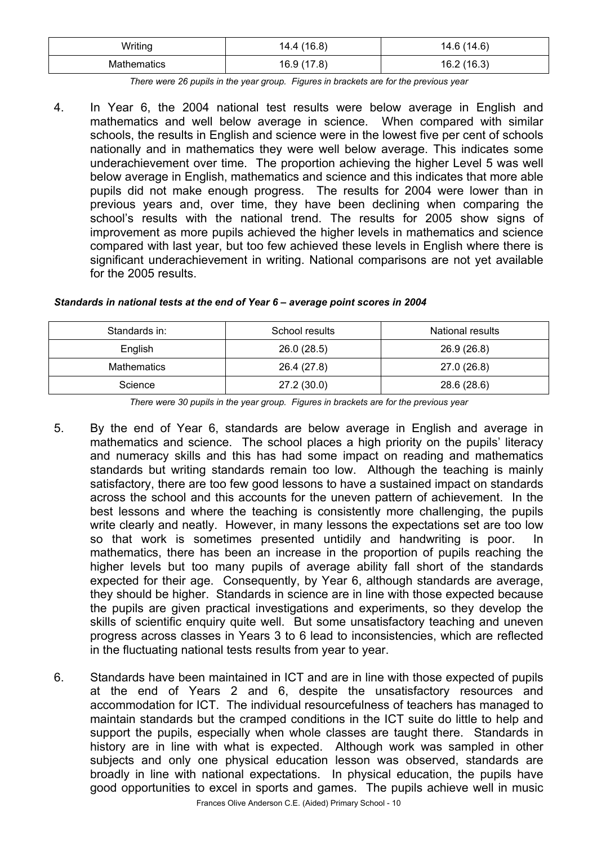| Writing            | 14.4 (16.8) | 14.6 (14.6) |
|--------------------|-------------|-------------|
| <b>Mathematics</b> | 16.9 (17.8) | 16.2 (16.3) |

*There were 26 pupils in the year group. Figures in brackets are for the previous year* 

4. In Year 6, the 2004 national test results were below average in English and mathematics and well below average in science. When compared with similar schools, the results in English and science were in the lowest five per cent of schools nationally and in mathematics they were well below average. This indicates some underachievement over time. The proportion achieving the higher Level 5 was well below average in English, mathematics and science and this indicates that more able pupils did not make enough progress. The results for 2004 were lower than in previous years and, over time, they have been declining when comparing the school's results with the national trend. The results for 2005 show signs of improvement as more pupils achieved the higher levels in mathematics and science compared with last year, but too few achieved these levels in English where there is significant underachievement in writing. National comparisons are not yet available for the 2005 results.

| Standards in: | School results | National results |
|---------------|----------------|------------------|
| English       | 26.0(28.5)     | 26.9 (26.8)      |
| Mathematics   | 26.4 (27.8)    | 27.0 (26.8)      |
| Science       | 27.2(30.0)     | 28.6 (28.6)      |

#### *Standards in national tests at the end of Year 6 – average point scores in 2004*

*There were 30 pupils in the year group. Figures in brackets are for the previous year* 

- 5. By the end of Year 6, standards are below average in English and average in mathematics and science. The school places a high priority on the pupils' literacy and numeracy skills and this has had some impact on reading and mathematics standards but writing standards remain too low. Although the teaching is mainly satisfactory, there are too few good lessons to have a sustained impact on standards across the school and this accounts for the uneven pattern of achievement. In the best lessons and where the teaching is consistently more challenging, the pupils write clearly and neatly. However, in many lessons the expectations set are too low so that work is sometimes presented untidily and handwriting is poor. In mathematics, there has been an increase in the proportion of pupils reaching the higher levels but too many pupils of average ability fall short of the standards expected for their age. Consequently, by Year 6, although standards are average, they should be higher. Standards in science are in line with those expected because the pupils are given practical investigations and experiments, so they develop the skills of scientific enquiry quite well. But some unsatisfactory teaching and uneven progress across classes in Years 3 to 6 lead to inconsistencies, which are reflected in the fluctuating national tests results from year to year.
- 6. Standards have been maintained in ICT and are in line with those expected of pupils at the end of Years 2 and 6, despite the unsatisfactory resources and accommodation for ICT. The individual resourcefulness of teachers has managed to maintain standards but the cramped conditions in the ICT suite do little to help and support the pupils, especially when whole classes are taught there. Standards in history are in line with what is expected. Although work was sampled in other subjects and only one physical education lesson was observed, standards are broadly in line with national expectations. In physical education, the pupils have good opportunities to excel in sports and games. The pupils achieve well in music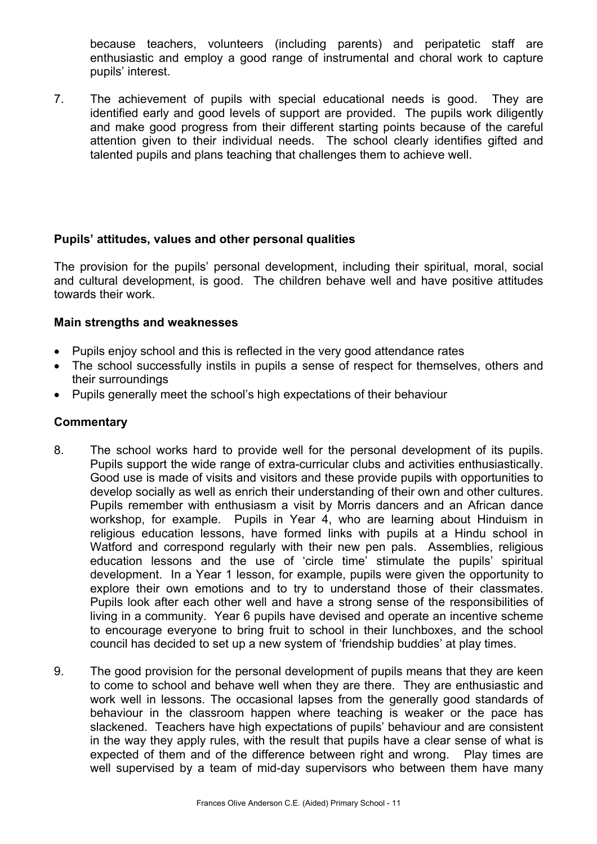because teachers, volunteers (including parents) and peripatetic staff are enthusiastic and employ a good range of instrumental and choral work to capture pupils' interest.

7. The achievement of pupils with special educational needs is good. They are identified early and good levels of support are provided. The pupils work diligently and make good progress from their different starting points because of the careful attention given to their individual needs. The school clearly identifies gifted and talented pupils and plans teaching that challenges them to achieve well.

# **Pupils' attitudes, values and other personal qualities**

The provision for the pupils' personal development, including their spiritual, moral, social and cultural development, is good. The children behave well and have positive attitudes towards their work.

### **Main strengths and weaknesses**

- Pupils enjoy school and this is reflected in the very good attendance rates
- The school successfully instils in pupils a sense of respect for themselves, others and their surroundings
- Pupils generally meet the school's high expectations of their behaviour

#### **Commentary**

- 8. The school works hard to provide well for the personal development of its pupils. Pupils support the wide range of extra-curricular clubs and activities enthusiastically. Good use is made of visits and visitors and these provide pupils with opportunities to develop socially as well as enrich their understanding of their own and other cultures. Pupils remember with enthusiasm a visit by Morris dancers and an African dance workshop, for example. Pupils in Year 4, who are learning about Hinduism in religious education lessons, have formed links with pupils at a Hindu school in Watford and correspond regularly with their new pen pals. Assemblies, religious education lessons and the use of 'circle time' stimulate the pupils' spiritual development. In a Year 1 lesson, for example, pupils were given the opportunity to explore their own emotions and to try to understand those of their classmates. Pupils look after each other well and have a strong sense of the responsibilities of living in a community. Year 6 pupils have devised and operate an incentive scheme to encourage everyone to bring fruit to school in their lunchboxes, and the school council has decided to set up a new system of 'friendship buddies' at play times.
- 9. The good provision for the personal development of pupils means that they are keen to come to school and behave well when they are there. They are enthusiastic and work well in lessons. The occasional lapses from the generally good standards of behaviour in the classroom happen where teaching is weaker or the pace has slackened. Teachers have high expectations of pupils' behaviour and are consistent in the way they apply rules, with the result that pupils have a clear sense of what is expected of them and of the difference between right and wrong. Play times are well supervised by a team of mid-day supervisors who between them have many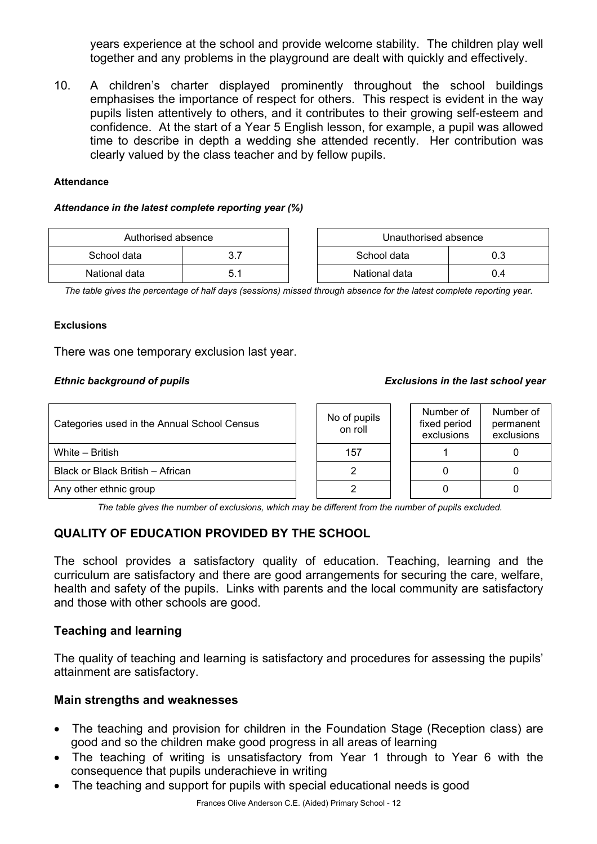years experience at the school and provide welcome stability. The children play well together and any problems in the playground are dealt with quickly and effectively.

10. A children's charter displayed prominently throughout the school buildings emphasises the importance of respect for others. This respect is evident in the way pupils listen attentively to others, and it contributes to their growing self-esteem and confidence. At the start of a Year 5 English lesson, for example, a pupil was allowed time to describe in depth a wedding she attended recently. Her contribution was clearly valued by the class teacher and by fellow pupils.

#### **Attendance**

#### *Attendance in the latest complete reporting year (%)*

| Authorised absence |  | Unauthorised absence |     |
|--------------------|--|----------------------|-----|
| School data        |  | School data          |     |
| National data      |  | National data        | 0.4 |

*The table gives the percentage of half days (sessions) missed through absence for the latest complete reporting year.*

#### **Exclusions**

There was one temporary exclusion last year.

#### *Ethnic background of pupils Exclusions in the last school year*

#### Categories used in the Annual School Census No of pupils on roll Number of fixed period exclusions Number of permanent exclusions White – British 157 1 0 Black or Black British – African 2 0 0

Any other ethnic group 2 0 0

*The table gives the number of exclusions, which may be different from the number of pupils excluded.*

# **QUALITY OF EDUCATION PROVIDED BY THE SCHOOL**

The school provides a satisfactory quality of education. Teaching, learning and the curriculum are satisfactory and there are good arrangements for securing the care, welfare, health and safety of the pupils. Links with parents and the local community are satisfactory and those with other schools are good.

# **Teaching and learning**

The quality of teaching and learning is satisfactory and procedures for assessing the pupils' attainment are satisfactory.

#### **Main strengths and weaknesses**

- The teaching and provision for children in the Foundation Stage (Reception class) are good and so the children make good progress in all areas of learning
- The teaching of writing is unsatisfactory from Year 1 through to Year 6 with the consequence that pupils underachieve in writing
- The teaching and support for pupils with special educational needs is good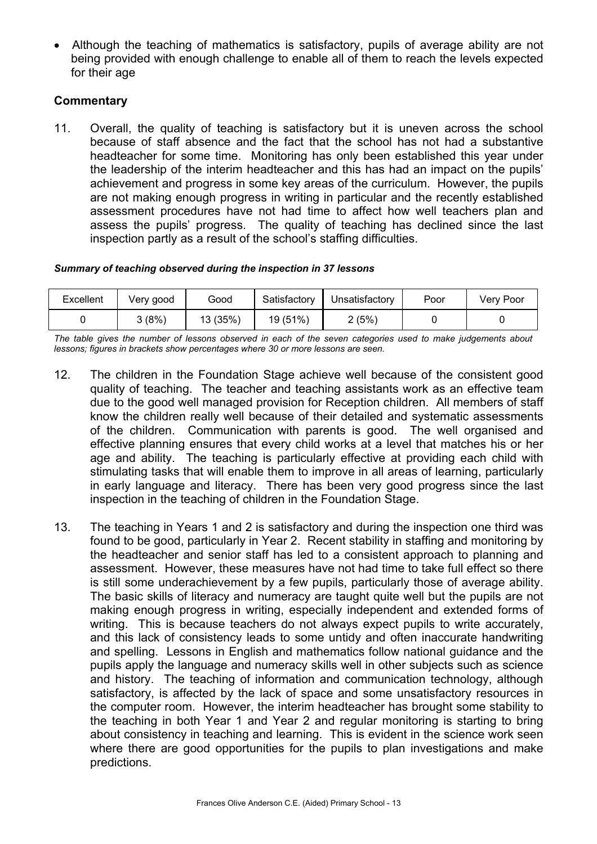• Although the teaching of mathematics is satisfactory, pupils of average ability are not being provided with enough challenge to enable all of them to reach the levels expected for their age

# **Commentary**

11. Overall, the quality of teaching is satisfactory but it is uneven across the school because of staff absence and the fact that the school has not had a substantive headteacher for some time. Monitoring has only been established this year under the leadership of the interim headteacher and this has had an impact on the pupils' achievement and progress in some key areas of the curriculum. However, the pupils are not making enough progress in writing in particular and the recently established assessment procedures have not had time to affect how well teachers plan and assess the pupils' progress. The quality of teaching has declined since the last inspection partly as a result of the school's staffing difficulties.

### *Summary of teaching observed during the inspection in 37 lessons*

| Excellent | Very good | Good     | Satisfactory | Unsatisfactory | Poor | Very Poor |
|-----------|-----------|----------|--------------|----------------|------|-----------|
|           | 3(8%)     | 13 (35%) | 19 (51%)     | 2(5%)          |      |           |

*The table gives the number of lessons observed in each of the seven categories used to make judgements about lessons; figures in brackets show percentages where 30 or more lessons are seen.* 

- 12. The children in the Foundation Stage achieve well because of the consistent good quality of teaching. The teacher and teaching assistants work as an effective team due to the good well managed provision for Reception children. All members of staff know the children really well because of their detailed and systematic assessments of the children. Communication with parents is good. The well organised and effective planning ensures that every child works at a level that matches his or her age and ability. The teaching is particularly effective at providing each child with stimulating tasks that will enable them to improve in all areas of learning, particularly in early language and literacy. There has been very good progress since the last inspection in the teaching of children in the Foundation Stage.
- 13. The teaching in Years 1 and 2 is satisfactory and during the inspection one third was found to be good, particularly in Year 2. Recent stability in staffing and monitoring by the headteacher and senior staff has led to a consistent approach to planning and assessment. However, these measures have not had time to take full effect so there is still some underachievement by a few pupils, particularly those of average ability. The basic skills of literacy and numeracy are taught quite well but the pupils are not making enough progress in writing, especially independent and extended forms of writing. This is because teachers do not always expect pupils to write accurately, and this lack of consistency leads to some untidy and often inaccurate handwriting and spelling. Lessons in English and mathematics follow national guidance and the pupils apply the language and numeracy skills well in other subjects such as science and history. The teaching of information and communication technology, although satisfactory, is affected by the lack of space and some unsatisfactory resources in the computer room. However, the interim headteacher has brought some stability to the teaching in both Year 1 and Year 2 and regular monitoring is starting to bring about consistency in teaching and learning. This is evident in the science work seen where there are good opportunities for the pupils to plan investigations and make predictions.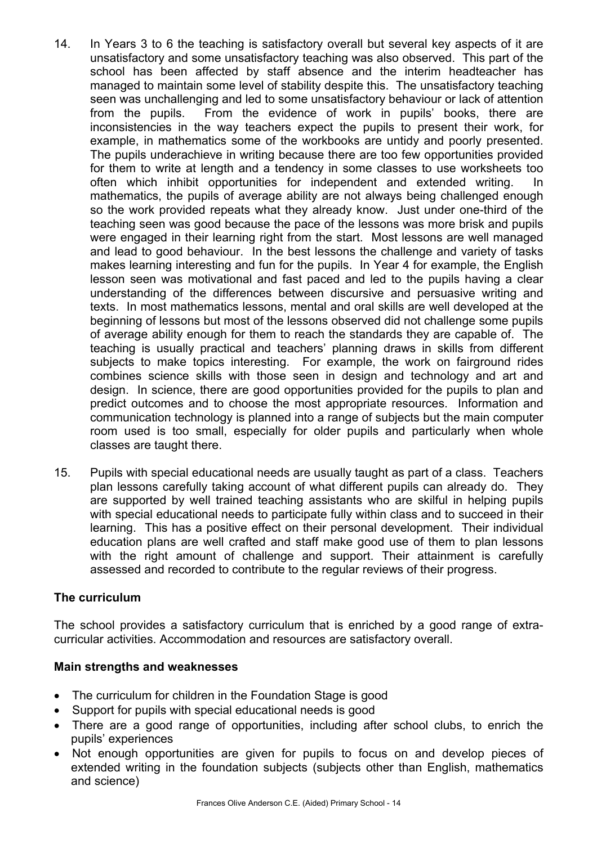- 14. In Years 3 to 6 the teaching is satisfactory overall but several key aspects of it are unsatisfactory and some unsatisfactory teaching was also observed. This part of the school has been affected by staff absence and the interim headteacher has managed to maintain some level of stability despite this. The unsatisfactory teaching seen was unchallenging and led to some unsatisfactory behaviour or lack of attention from the pupils. From the evidence of work in pupils' books, there are inconsistencies in the way teachers expect the pupils to present their work, for example, in mathematics some of the workbooks are untidy and poorly presented. The pupils underachieve in writing because there are too few opportunities provided for them to write at length and a tendency in some classes to use worksheets too often which inhibit opportunities for independent and extended writing. In mathematics, the pupils of average ability are not always being challenged enough so the work provided repeats what they already know. Just under one-third of the teaching seen was good because the pace of the lessons was more brisk and pupils were engaged in their learning right from the start. Most lessons are well managed and lead to good behaviour. In the best lessons the challenge and variety of tasks makes learning interesting and fun for the pupils. In Year 4 for example, the English lesson seen was motivational and fast paced and led to the pupils having a clear understanding of the differences between discursive and persuasive writing and texts. In most mathematics lessons, mental and oral skills are well developed at the beginning of lessons but most of the lessons observed did not challenge some pupils of average ability enough for them to reach the standards they are capable of. The teaching is usually practical and teachers' planning draws in skills from different subjects to make topics interesting. For example, the work on fairground rides combines science skills with those seen in design and technology and art and design. In science, there are good opportunities provided for the pupils to plan and predict outcomes and to choose the most appropriate resources. Information and communication technology is planned into a range of subjects but the main computer room used is too small, especially for older pupils and particularly when whole classes are taught there.
- 15. Pupils with special educational needs are usually taught as part of a class. Teachers plan lessons carefully taking account of what different pupils can already do. They are supported by well trained teaching assistants who are skilful in helping pupils with special educational needs to participate fully within class and to succeed in their learning. This has a positive effect on their personal development. Their individual education plans are well crafted and staff make good use of them to plan lessons with the right amount of challenge and support. Their attainment is carefully assessed and recorded to contribute to the regular reviews of their progress.

# **The curriculum**

The school provides a satisfactory curriculum that is enriched by a good range of extracurricular activities. Accommodation and resources are satisfactory overall.

# **Main strengths and weaknesses**

- The curriculum for children in the Foundation Stage is good
- Support for pupils with special educational needs is good
- There are a good range of opportunities, including after school clubs, to enrich the pupils' experiences
- Not enough opportunities are given for pupils to focus on and develop pieces of extended writing in the foundation subjects (subjects other than English, mathematics and science)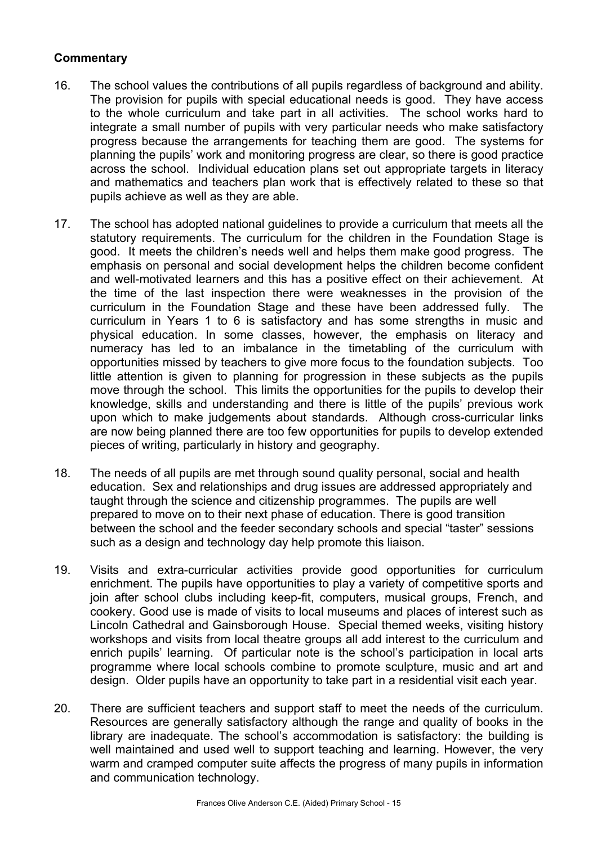# **Commentary**

- 16. The school values the contributions of all pupils regardless of background and ability. The provision for pupils with special educational needs is good. They have access to the whole curriculum and take part in all activities. The school works hard to integrate a small number of pupils with very particular needs who make satisfactory progress because the arrangements for teaching them are good. The systems for planning the pupils' work and monitoring progress are clear, so there is good practice across the school. Individual education plans set out appropriate targets in literacy and mathematics and teachers plan work that is effectively related to these so that pupils achieve as well as they are able.
- 17. The school has adopted national guidelines to provide a curriculum that meets all the statutory requirements. The curriculum for the children in the Foundation Stage is good. It meets the children's needs well and helps them make good progress. The emphasis on personal and social development helps the children become confident and well-motivated learners and this has a positive effect on their achievement. At the time of the last inspection there were weaknesses in the provision of the curriculum in the Foundation Stage and these have been addressed fully. The curriculum in Years 1 to 6 is satisfactory and has some strengths in music and physical education. In some classes, however, the emphasis on literacy and numeracy has led to an imbalance in the timetabling of the curriculum with opportunities missed by teachers to give more focus to the foundation subjects. Too little attention is given to planning for progression in these subjects as the pupils move through the school. This limits the opportunities for the pupils to develop their knowledge, skills and understanding and there is little of the pupils' previous work upon which to make judgements about standards. Although cross-curricular links are now being planned there are too few opportunities for pupils to develop extended pieces of writing, particularly in history and geography.
- 18. The needs of all pupils are met through sound quality personal, social and health education. Sex and relationships and drug issues are addressed appropriately and taught through the science and citizenship programmes. The pupils are well prepared to move on to their next phase of education. There is good transition between the school and the feeder secondary schools and special "taster" sessions such as a design and technology day help promote this liaison.
- 19. Visits and extra-curricular activities provide good opportunities for curriculum enrichment. The pupils have opportunities to play a variety of competitive sports and join after school clubs including keep-fit, computers, musical groups, French, and cookery. Good use is made of visits to local museums and places of interest such as Lincoln Cathedral and Gainsborough House. Special themed weeks, visiting history workshops and visits from local theatre groups all add interest to the curriculum and enrich pupils' learning. Of particular note is the school's participation in local arts programme where local schools combine to promote sculpture, music and art and design. Older pupils have an opportunity to take part in a residential visit each year.
- 20. There are sufficient teachers and support staff to meet the needs of the curriculum. Resources are generally satisfactory although the range and quality of books in the library are inadequate. The school's accommodation is satisfactory: the building is well maintained and used well to support teaching and learning. However, the very warm and cramped computer suite affects the progress of many pupils in information and communication technology.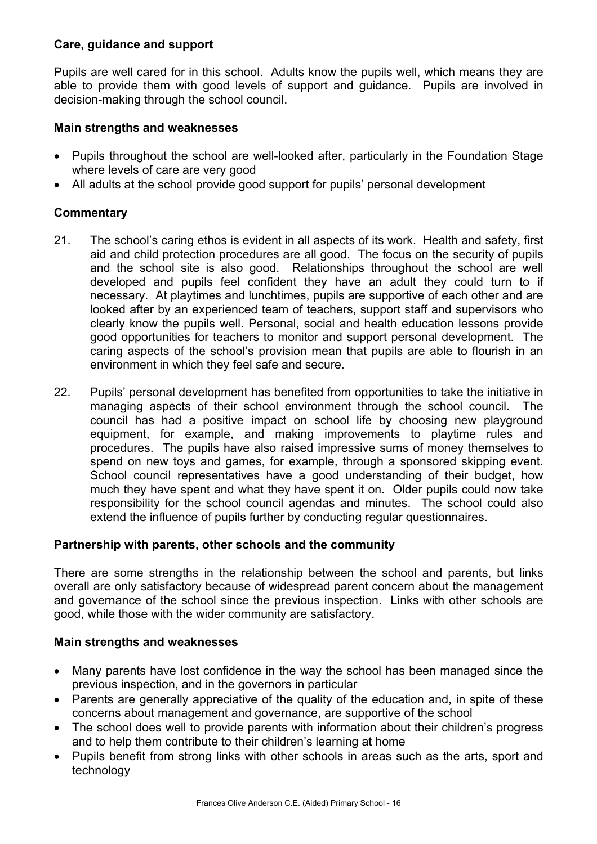# **Care, guidance and support**

Pupils are well cared for in this school. Adults know the pupils well, which means they are able to provide them with good levels of support and guidance. Pupils are involved in decision-making through the school council.

# **Main strengths and weaknesses**

- Pupils throughout the school are well-looked after, particularly in the Foundation Stage where levels of care are very good
- All adults at the school provide good support for pupils' personal development

# **Commentary**

- 21. The school's caring ethos is evident in all aspects of its work. Health and safety, first aid and child protection procedures are all good. The focus on the security of pupils and the school site is also good. Relationships throughout the school are well developed and pupils feel confident they have an adult they could turn to if necessary. At playtimes and lunchtimes, pupils are supportive of each other and are looked after by an experienced team of teachers, support staff and supervisors who clearly know the pupils well. Personal, social and health education lessons provide good opportunities for teachers to monitor and support personal development. The caring aspects of the school's provision mean that pupils are able to flourish in an environment in which they feel safe and secure.
- 22. Pupils' personal development has benefited from opportunities to take the initiative in managing aspects of their school environment through the school council. The council has had a positive impact on school life by choosing new playground equipment, for example, and making improvements to playtime rules and procedures. The pupils have also raised impressive sums of money themselves to spend on new toys and games, for example, through a sponsored skipping event. School council representatives have a good understanding of their budget, how much they have spent and what they have spent it on. Older pupils could now take responsibility for the school council agendas and minutes. The school could also extend the influence of pupils further by conducting regular questionnaires.

# **Partnership with parents, other schools and the community**

There are some strengths in the relationship between the school and parents, but links overall are only satisfactory because of widespread parent concern about the management and governance of the school since the previous inspection. Links with other schools are good, while those with the wider community are satisfactory.

# **Main strengths and weaknesses**

- Many parents have lost confidence in the way the school has been managed since the previous inspection, and in the governors in particular
- Parents are generally appreciative of the quality of the education and, in spite of these concerns about management and governance, are supportive of the school
- The school does well to provide parents with information about their children's progress and to help them contribute to their children's learning at home
- Pupils benefit from strong links with other schools in areas such as the arts, sport and technology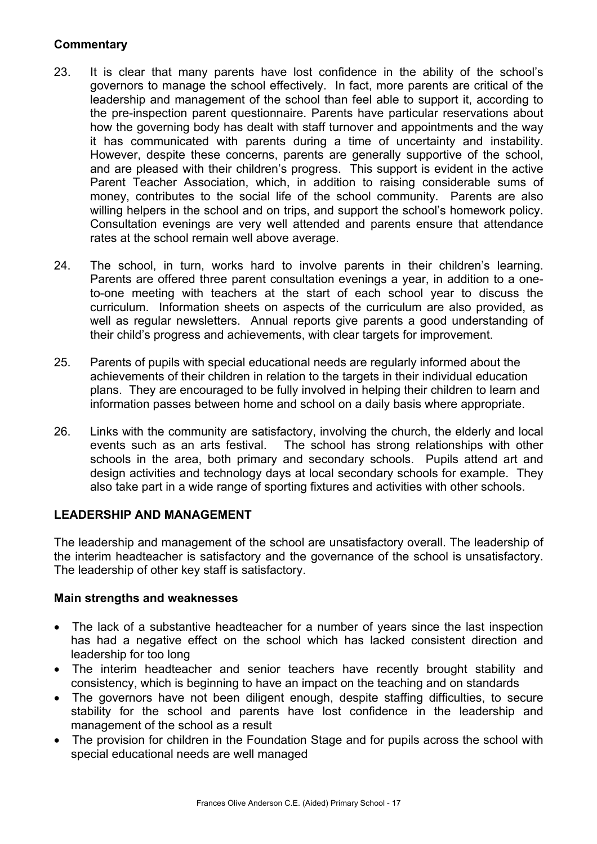# **Commentary**

- 23. It is clear that many parents have lost confidence in the ability of the school's governors to manage the school effectively. In fact, more parents are critical of the leadership and management of the school than feel able to support it, according to the pre-inspection parent questionnaire. Parents have particular reservations about how the governing body has dealt with staff turnover and appointments and the way it has communicated with parents during a time of uncertainty and instability. However, despite these concerns, parents are generally supportive of the school, and are pleased with their children's progress. This support is evident in the active Parent Teacher Association, which, in addition to raising considerable sums of money, contributes to the social life of the school community. Parents are also willing helpers in the school and on trips, and support the school's homework policy. Consultation evenings are very well attended and parents ensure that attendance rates at the school remain well above average.
- 24. The school, in turn, works hard to involve parents in their children's learning. Parents are offered three parent consultation evenings a year, in addition to a oneto-one meeting with teachers at the start of each school year to discuss the curriculum. Information sheets on aspects of the curriculum are also provided, as well as regular newsletters. Annual reports give parents a good understanding of their child's progress and achievements, with clear targets for improvement.
- 25. Parents of pupils with special educational needs are regularly informed about the achievements of their children in relation to the targets in their individual education plans. They are encouraged to be fully involved in helping their children to learn and information passes between home and school on a daily basis where appropriate.
- 26. Links with the community are satisfactory, involving the church, the elderly and local events such as an arts festival. The school has strong relationships with other schools in the area, both primary and secondary schools. Pupils attend art and design activities and technology days at local secondary schools for example. They also take part in a wide range of sporting fixtures and activities with other schools.

# **LEADERSHIP AND MANAGEMENT**

The leadership and management of the school are unsatisfactory overall. The leadership of the interim headteacher is satisfactory and the governance of the school is unsatisfactory. The leadership of other key staff is satisfactory.

# **Main strengths and weaknesses**

- The lack of a substantive headteacher for a number of vears since the last inspection has had a negative effect on the school which has lacked consistent direction and leadership for too long
- The interim headteacher and senior teachers have recently brought stability and consistency, which is beginning to have an impact on the teaching and on standards
- The governors have not been diligent enough, despite staffing difficulties, to secure stability for the school and parents have lost confidence in the leadership and management of the school as a result
- The provision for children in the Foundation Stage and for pupils across the school with special educational needs are well managed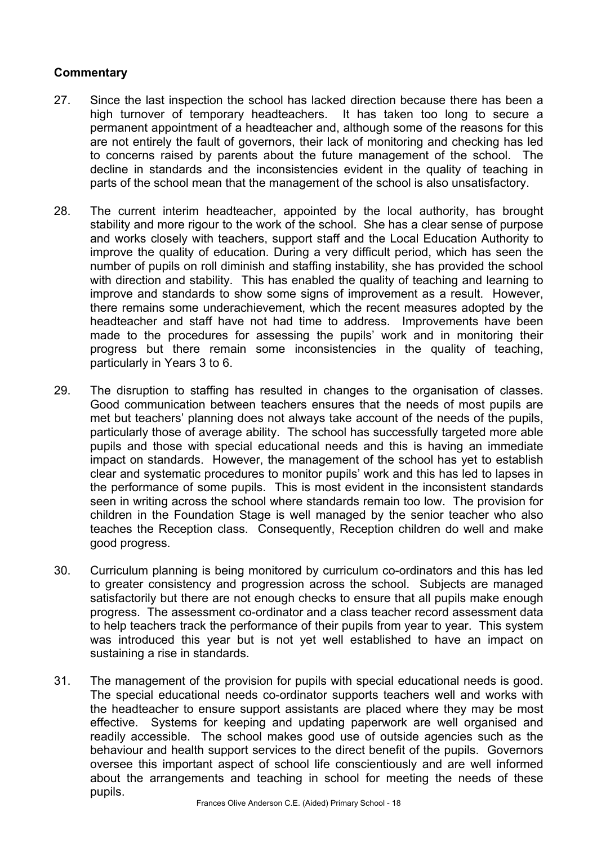# **Commentary**

- 27. Since the last inspection the school has lacked direction because there has been a high turnover of temporary headteachers. It has taken too long to secure a permanent appointment of a headteacher and, although some of the reasons for this are not entirely the fault of governors, their lack of monitoring and checking has led to concerns raised by parents about the future management of the school. The decline in standards and the inconsistencies evident in the quality of teaching in parts of the school mean that the management of the school is also unsatisfactory.
- 28. The current interim headteacher, appointed by the local authority, has brought stability and more rigour to the work of the school. She has a clear sense of purpose and works closely with teachers, support staff and the Local Education Authority to improve the quality of education. During a very difficult period, which has seen the number of pupils on roll diminish and staffing instability, she has provided the school with direction and stability. This has enabled the quality of teaching and learning to improve and standards to show some signs of improvement as a result. However, there remains some underachievement, which the recent measures adopted by the headteacher and staff have not had time to address. Improvements have been made to the procedures for assessing the pupils' work and in monitoring their progress but there remain some inconsistencies in the quality of teaching, particularly in Years 3 to 6.
- 29. The disruption to staffing has resulted in changes to the organisation of classes. Good communication between teachers ensures that the needs of most pupils are met but teachers' planning does not always take account of the needs of the pupils, particularly those of average ability. The school has successfully targeted more able pupils and those with special educational needs and this is having an immediate impact on standards. However, the management of the school has yet to establish clear and systematic procedures to monitor pupils' work and this has led to lapses in the performance of some pupils. This is most evident in the inconsistent standards seen in writing across the school where standards remain too low. The provision for children in the Foundation Stage is well managed by the senior teacher who also teaches the Reception class. Consequently, Reception children do well and make good progress.
- 30. Curriculum planning is being monitored by curriculum co-ordinators and this has led to greater consistency and progression across the school. Subjects are managed satisfactorily but there are not enough checks to ensure that all pupils make enough progress. The assessment co-ordinator and a class teacher record assessment data to help teachers track the performance of their pupils from year to year. This system was introduced this year but is not yet well established to have an impact on sustaining a rise in standards.
- 31. The management of the provision for pupils with special educational needs is good. The special educational needs co-ordinator supports teachers well and works with the headteacher to ensure support assistants are placed where they may be most effective. Systems for keeping and updating paperwork are well organised and readily accessible. The school makes good use of outside agencies such as the behaviour and health support services to the direct benefit of the pupils. Governors oversee this important aspect of school life conscientiously and are well informed about the arrangements and teaching in school for meeting the needs of these pupils.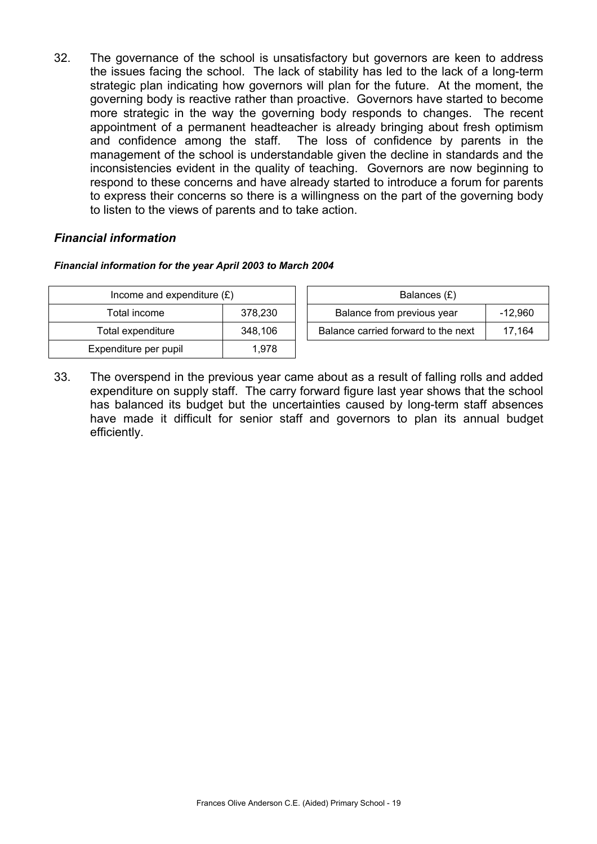32. The governance of the school is unsatisfactory but governors are keen to address the issues facing the school. The lack of stability has led to the lack of a long-term strategic plan indicating how governors will plan for the future. At the moment, the governing body is reactive rather than proactive. Governors have started to become more strategic in the way the governing body responds to changes. The recent appointment of a permanent headteacher is already bringing about fresh optimism and confidence among the staff. The loss of confidence by parents in the management of the school is understandable given the decline in standards and the inconsistencies evident in the quality of teaching. Governors are now beginning to respond to these concerns and have already started to introduce a forum for parents to express their concerns so there is a willingness on the part of the governing body to listen to the views of parents and to take action.

# *Financial information*

# *Financial information for the year April 2003 to March 2004*

| Income and expenditure $(E)$ |         | Balances (£)                        |         |
|------------------------------|---------|-------------------------------------|---------|
| Total income                 | 378.230 | Balance from previous year          | -12,960 |
| Total expenditure            | 348,106 | Balance carried forward to the next | 17.164  |
| Expenditure per pupil        | 1.978   |                                     |         |

33. The overspend in the previous year came about as a result of falling rolls and added expenditure on supply staff. The carry forward figure last year shows that the school has balanced its budget but the uncertainties caused by long-term staff absences have made it difficult for senior staff and governors to plan its annual budget efficiently.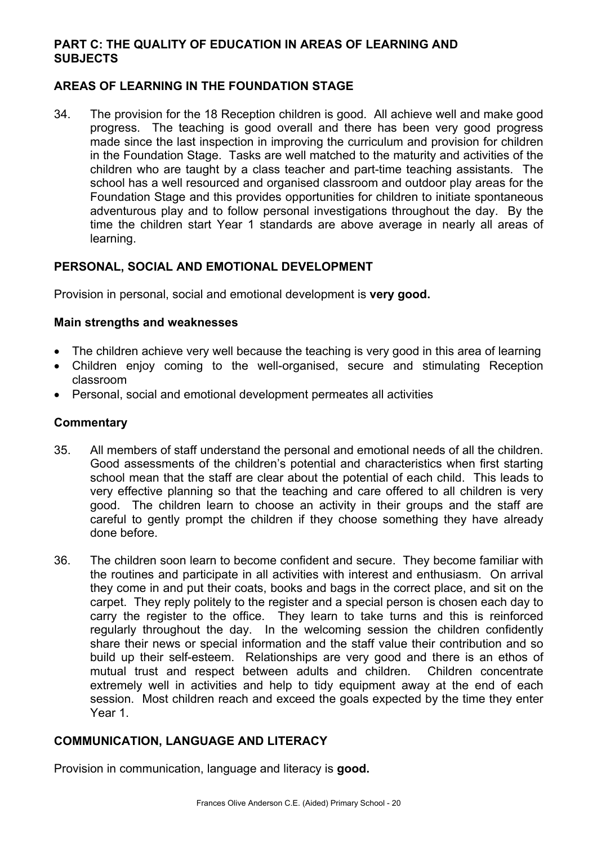# **PART C: THE QUALITY OF EDUCATION IN AREAS OF LEARNING AND SUBJECTS**

# **AREAS OF LEARNING IN THE FOUNDATION STAGE**

34. The provision for the 18 Reception children is good. All achieve well and make good progress. The teaching is good overall and there has been very good progress made since the last inspection in improving the curriculum and provision for children in the Foundation Stage. Tasks are well matched to the maturity and activities of the children who are taught by a class teacher and part-time teaching assistants. The school has a well resourced and organised classroom and outdoor play areas for the Foundation Stage and this provides opportunities for children to initiate spontaneous adventurous play and to follow personal investigations throughout the day. By the time the children start Year 1 standards are above average in nearly all areas of learning.

# **PERSONAL, SOCIAL AND EMOTIONAL DEVELOPMENT**

Provision in personal, social and emotional development is **very good.**

### **Main strengths and weaknesses**

- The children achieve very well because the teaching is very good in this area of learning
- Children enjoy coming to the well-organised, secure and stimulating Reception classroom
- Personal, social and emotional development permeates all activities

#### **Commentary**

- 35. All members of staff understand the personal and emotional needs of all the children. Good assessments of the children's potential and characteristics when first starting school mean that the staff are clear about the potential of each child. This leads to very effective planning so that the teaching and care offered to all children is very good. The children learn to choose an activity in their groups and the staff are careful to gently prompt the children if they choose something they have already done before.
- 36. The children soon learn to become confident and secure. They become familiar with the routines and participate in all activities with interest and enthusiasm. On arrival they come in and put their coats, books and bags in the correct place, and sit on the carpet. They reply politely to the register and a special person is chosen each day to carry the register to the office. They learn to take turns and this is reinforced regularly throughout the day. In the welcoming session the children confidently share their news or special information and the staff value their contribution and so build up their self-esteem. Relationships are very good and there is an ethos of mutual trust and respect between adults and children. Children concentrate extremely well in activities and help to tidy equipment away at the end of each session. Most children reach and exceed the goals expected by the time they enter Year 1.

# **COMMUNICATION, LANGUAGE AND LITERACY**

Provision in communication, language and literacy is **good.**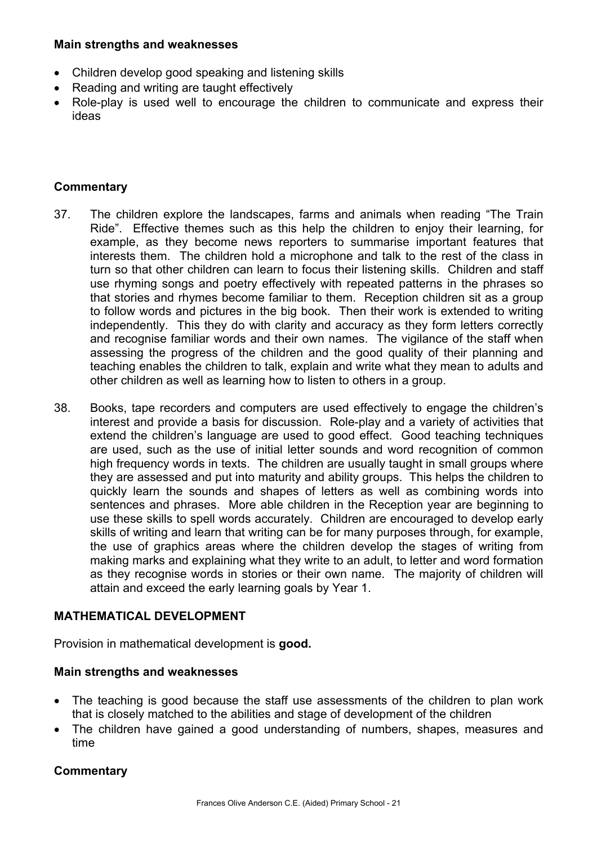### **Main strengths and weaknesses**

- Children develop good speaking and listening skills
- Reading and writing are taught effectively
- Role-play is used well to encourage the children to communicate and express their ideas

### **Commentary**

- 37. The children explore the landscapes, farms and animals when reading "The Train Ride". Effective themes such as this help the children to enjoy their learning, for example, as they become news reporters to summarise important features that interests them. The children hold a microphone and talk to the rest of the class in turn so that other children can learn to focus their listening skills. Children and staff use rhyming songs and poetry effectively with repeated patterns in the phrases so that stories and rhymes become familiar to them. Reception children sit as a group to follow words and pictures in the big book. Then their work is extended to writing independently. This they do with clarity and accuracy as they form letters correctly and recognise familiar words and their own names. The vigilance of the staff when assessing the progress of the children and the good quality of their planning and teaching enables the children to talk, explain and write what they mean to adults and other children as well as learning how to listen to others in a group.
- 38. Books, tape recorders and computers are used effectively to engage the children's interest and provide a basis for discussion. Role-play and a variety of activities that extend the children's language are used to good effect. Good teaching techniques are used, such as the use of initial letter sounds and word recognition of common high frequency words in texts. The children are usually taught in small groups where they are assessed and put into maturity and ability groups. This helps the children to quickly learn the sounds and shapes of letters as well as combining words into sentences and phrases. More able children in the Reception year are beginning to use these skills to spell words accurately. Children are encouraged to develop early skills of writing and learn that writing can be for many purposes through, for example, the use of graphics areas where the children develop the stages of writing from making marks and explaining what they write to an adult, to letter and word formation as they recognise words in stories or their own name. The majority of children will attain and exceed the early learning goals by Year 1.

# **MATHEMATICAL DEVELOPMENT**

Provision in mathematical development is **good.**

#### **Main strengths and weaknesses**

- The teaching is good because the staff use assessments of the children to plan work that is closely matched to the abilities and stage of development of the children
- The children have gained a good understanding of numbers, shapes, measures and time

# **Commentary**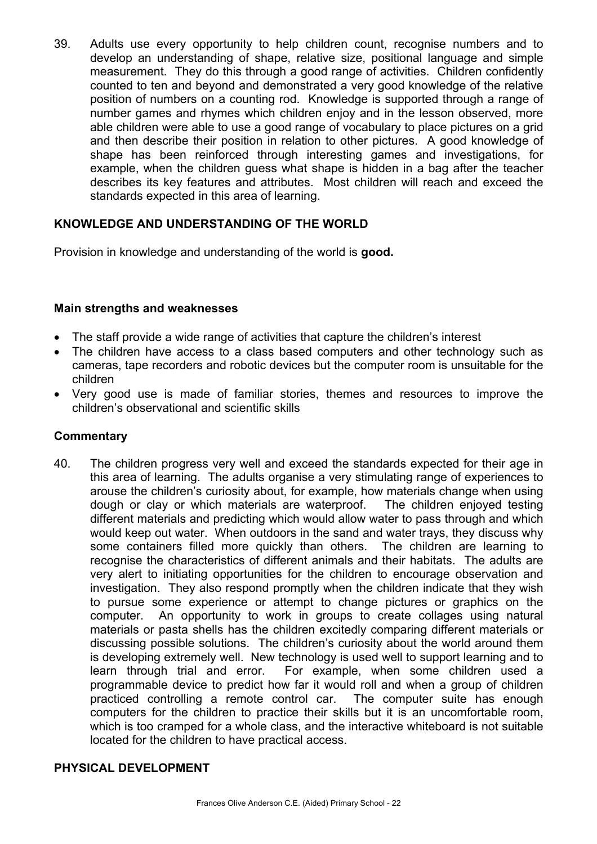39. Adults use every opportunity to help children count, recognise numbers and to develop an understanding of shape, relative size, positional language and simple measurement. They do this through a good range of activities. Children confidently counted to ten and beyond and demonstrated a very good knowledge of the relative position of numbers on a counting rod. Knowledge is supported through a range of number games and rhymes which children enjoy and in the lesson observed, more able children were able to use a good range of vocabulary to place pictures on a grid and then describe their position in relation to other pictures. A good knowledge of shape has been reinforced through interesting games and investigations, for example, when the children guess what shape is hidden in a bag after the teacher describes its key features and attributes. Most children will reach and exceed the standards expected in this area of learning.

# **KNOWLEDGE AND UNDERSTANDING OF THE WORLD**

Provision in knowledge and understanding of the world is **good.**

### **Main strengths and weaknesses**

- The staff provide a wide range of activities that capture the children's interest
- The children have access to a class based computers and other technology such as cameras, tape recorders and robotic devices but the computer room is unsuitable for the children
- Very good use is made of familiar stories, themes and resources to improve the children's observational and scientific skills

#### **Commentary**

40. The children progress very well and exceed the standards expected for their age in this area of learning. The adults organise a very stimulating range of experiences to arouse the children's curiosity about, for example, how materials change when using dough or clay or which materials are waterproof. The children enjoyed testing different materials and predicting which would allow water to pass through and which would keep out water. When outdoors in the sand and water trays, they discuss why some containers filled more quickly than others. The children are learning to recognise the characteristics of different animals and their habitats. The adults are very alert to initiating opportunities for the children to encourage observation and investigation. They also respond promptly when the children indicate that they wish to pursue some experience or attempt to change pictures or graphics on the computer. An opportunity to work in groups to create collages using natural materials or pasta shells has the children excitedly comparing different materials or discussing possible solutions. The children's curiosity about the world around them is developing extremely well. New technology is used well to support learning and to learn through trial and error. For example, when some children used a programmable device to predict how far it would roll and when a group of children practiced controlling a remote control car. The computer suite has enough computers for the children to practice their skills but it is an uncomfortable room, which is too cramped for a whole class, and the interactive whiteboard is not suitable located for the children to have practical access.

# **PHYSICAL DEVELOPMENT**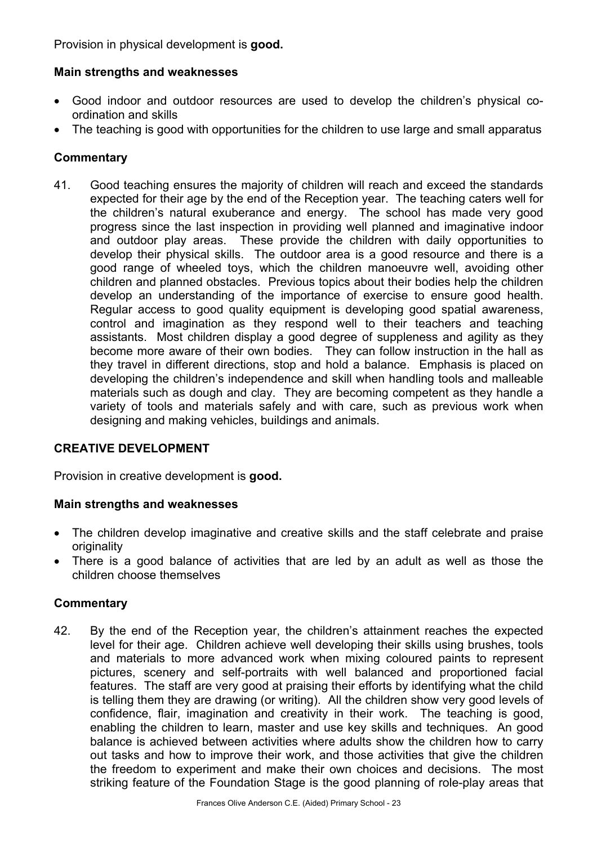Provision in physical development is **good.**

# **Main strengths and weaknesses**

- Good indoor and outdoor resources are used to develop the children's physical coordination and skills
- The teaching is good with opportunities for the children to use large and small apparatus

# **Commentary**

41. Good teaching ensures the majority of children will reach and exceed the standards expected for their age by the end of the Reception year.The teaching caters well for the children's natural exuberance and energy. The school has made very good progress since the last inspection in providing well planned and imaginative indoor and outdoor play areas. These provide the children with daily opportunities to develop their physical skills. The outdoor area is a good resource and there is a good range of wheeled toys, which the children manoeuvre well, avoiding other children and planned obstacles. Previous topics about their bodies help the children develop an understanding of the importance of exercise to ensure good health. Regular access to good quality equipment is developing good spatial awareness, control and imagination as they respond well to their teachers and teaching assistants. Most children display a good degree of suppleness and agility as they become more aware of their own bodies. They can follow instruction in the hall as they travel in different directions, stop and hold a balance. Emphasis is placed on developing the children's independence and skill when handling tools and malleable materials such as dough and clay. They are becoming competent as they handle a variety of tools and materials safely and with care, such as previous work when designing and making vehicles, buildings and animals.

# **CREATIVE DEVELOPMENT**

Provision in creative development is **good.**

# **Main strengths and weaknesses**

- The children develop imaginative and creative skills and the staff celebrate and praise originality
- There is a good balance of activities that are led by an adult as well as those the children choose themselves

# **Commentary**

42. By the end of the Reception year, the children's attainment reaches the expected level for their age. Children achieve well developing their skills using brushes, tools and materials to more advanced work when mixing coloured paints to represent pictures, scenery and self-portraits with well balanced and proportioned facial features. The staff are very good at praising their efforts by identifying what the child is telling them they are drawing (or writing). All the children show very good levels of confidence, flair, imagination and creativity in their work. The teaching is good, enabling the children to learn, master and use key skills and techniques. An good balance is achieved between activities where adults show the children how to carry out tasks and how to improve their work, and those activities that give the children the freedom to experiment and make their own choices and decisions. The most striking feature of the Foundation Stage is the good planning of role-play areas that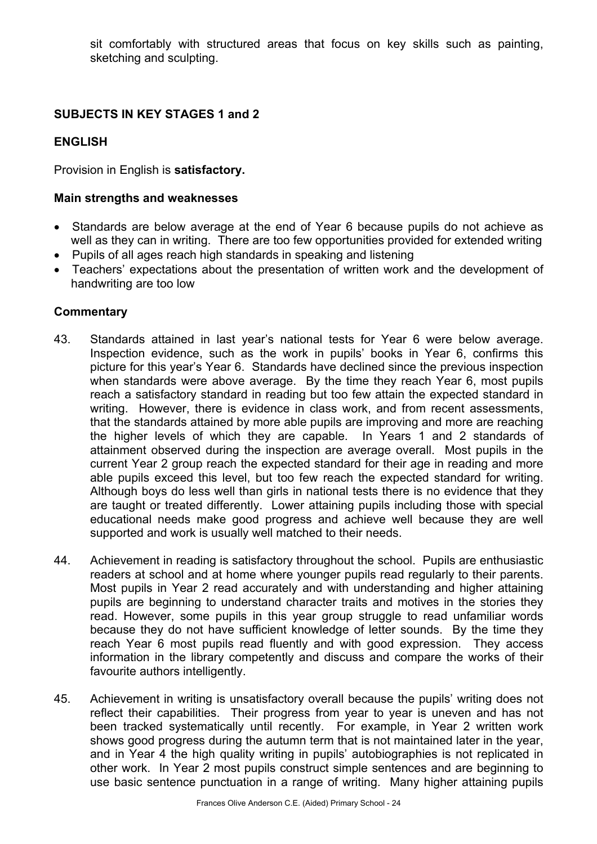sit comfortably with structured areas that focus on key skills such as painting, sketching and sculpting.

# **SUBJECTS IN KEY STAGES 1 and 2**

# **ENGLISH**

Provision in English is **satisfactory.**

### **Main strengths and weaknesses**

- Standards are below average at the end of Year 6 because pupils do not achieve as well as they can in writing. There are too few opportunities provided for extended writing
- Pupils of all ages reach high standards in speaking and listening
- Teachers' expectations about the presentation of written work and the development of handwriting are too low

# **Commentary**

- 43. Standards attained in last year's national tests for Year 6 were below average. Inspection evidence, such as the work in pupils' books in Year 6, confirms this picture for this year's Year 6. Standards have declined since the previous inspection when standards were above average. By the time they reach Year 6, most pupils reach a satisfactory standard in reading but too few attain the expected standard in writing. However, there is evidence in class work, and from recent assessments, that the standards attained by more able pupils are improving and more are reaching the higher levels of which they are capable. In Years 1 and 2 standards of attainment observed during the inspection are average overall. Most pupils in the current Year 2 group reach the expected standard for their age in reading and more able pupils exceed this level, but too few reach the expected standard for writing. Although boys do less well than girls in national tests there is no evidence that they are taught or treated differently. Lower attaining pupils including those with special educational needs make good progress and achieve well because they are well supported and work is usually well matched to their needs.
- 44. Achievement in reading is satisfactory throughout the school. Pupils are enthusiastic readers at school and at home where younger pupils read regularly to their parents. Most pupils in Year 2 read accurately and with understanding and higher attaining pupils are beginning to understand character traits and motives in the stories they read. However, some pupils in this year group struggle to read unfamiliar words because they do not have sufficient knowledge of letter sounds. By the time they reach Year 6 most pupils read fluently and with good expression. They access information in the library competently and discuss and compare the works of their favourite authors intelligently.
- 45. Achievement in writing is unsatisfactory overall because the pupils' writing does not reflect their capabilities. Their progress from year to year is uneven and has not been tracked systematically until recently. For example, in Year 2 written work shows good progress during the autumn term that is not maintained later in the year, and in Year 4 the high quality writing in pupils' autobiographies is not replicated in other work. In Year 2 most pupils construct simple sentences and are beginning to use basic sentence punctuation in a range of writing. Many higher attaining pupils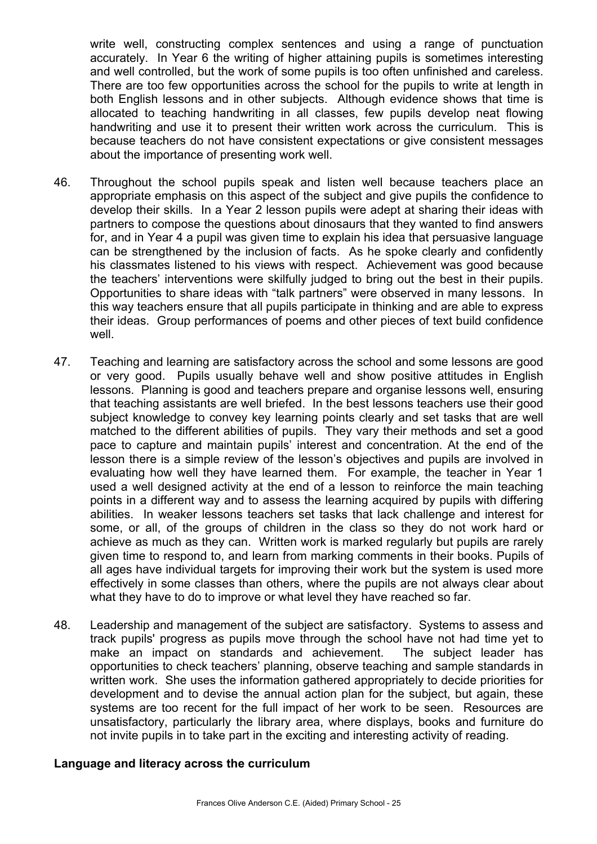write well, constructing complex sentences and using a range of punctuation accurately. In Year 6 the writing of higher attaining pupils is sometimes interesting and well controlled, but the work of some pupils is too often unfinished and careless. There are too few opportunities across the school for the pupils to write at length in both English lessons and in other subjects. Although evidence shows that time is allocated to teaching handwriting in all classes, few pupils develop neat flowing handwriting and use it to present their written work across the curriculum. This is because teachers do not have consistent expectations or give consistent messages about the importance of presenting work well.

- 46. Throughout the school pupils speak and listen well because teachers place an appropriate emphasis on this aspect of the subject and give pupils the confidence to develop their skills. In a Year 2 lesson pupils were adept at sharing their ideas with partners to compose the questions about dinosaurs that they wanted to find answers for, and in Year 4 a pupil was given time to explain his idea that persuasive language can be strengthened by the inclusion of facts. As he spoke clearly and confidently his classmates listened to his views with respect. Achievement was good because the teachers' interventions were skilfully judged to bring out the best in their pupils. Opportunities to share ideas with "talk partners" were observed in many lessons. In this way teachers ensure that all pupils participate in thinking and are able to express their ideas. Group performances of poems and other pieces of text build confidence well.
- 47. Teaching and learning are satisfactory across the school and some lessons are good or very good. Pupils usually behave well and show positive attitudes in English lessons. Planning is good and teachers prepare and organise lessons well, ensuring that teaching assistants are well briefed. In the best lessons teachers use their good subject knowledge to convey key learning points clearly and set tasks that are well matched to the different abilities of pupils. They vary their methods and set a good pace to capture and maintain pupils' interest and concentration. At the end of the lesson there is a simple review of the lesson's objectives and pupils are involved in evaluating how well they have learned them. For example, the teacher in Year 1 used a well designed activity at the end of a lesson to reinforce the main teaching points in a different way and to assess the learning acquired by pupils with differing abilities. In weaker lessons teachers set tasks that lack challenge and interest for some, or all, of the groups of children in the class so they do not work hard or achieve as much as they can. Written work is marked regularly but pupils are rarely given time to respond to, and learn from marking comments in their books. Pupils of all ages have individual targets for improving their work but the system is used more effectively in some classes than others, where the pupils are not always clear about what they have to do to improve or what level they have reached so far.
- 48. Leadership and management of the subject are satisfactory. Systems to assess and track pupils' progress as pupils move through the school have not had time yet to make an impact on standards and achievement. The subject leader has opportunities to check teachers' planning, observe teaching and sample standards in written work. She uses the information gathered appropriately to decide priorities for development and to devise the annual action plan for the subject, but again, these systems are too recent for the full impact of her work to be seen. Resources are unsatisfactory, particularly the library area, where displays, books and furniture do not invite pupils in to take part in the exciting and interesting activity of reading.

#### **Language and literacy across the curriculum**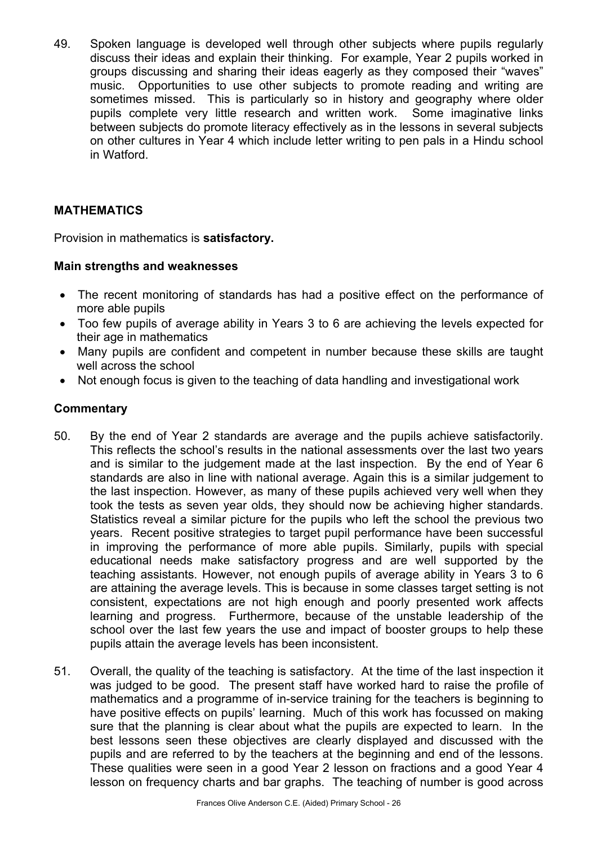49. Spoken language is developed well through other subjects where pupils regularly discuss their ideas and explain their thinking. For example, Year 2 pupils worked in groups discussing and sharing their ideas eagerly as they composed their "waves" music. Opportunities to use other subjects to promote reading and writing are sometimes missed. This is particularly so in history and geography where older pupils complete very little research and written work. Some imaginative links between subjects do promote literacy effectively as in the lessons in several subjects on other cultures in Year 4 which include letter writing to pen pals in a Hindu school in Watford.

# **MATHEMATICS**

Provision in mathematics is **satisfactory.**

# **Main strengths and weaknesses**

- The recent monitoring of standards has had a positive effect on the performance of more able pupils
- Too few pupils of average ability in Years 3 to 6 are achieving the levels expected for their age in mathematics
- Many pupils are confident and competent in number because these skills are taught well across the school
- Not enough focus is given to the teaching of data handling and investigational work

# **Commentary**

- 50. By the end of Year 2 standards are average and the pupils achieve satisfactorily. This reflects the school's results in the national assessments over the last two years and is similar to the judgement made at the last inspection. By the end of Year 6 standards are also in line with national average. Again this is a similar judgement to the last inspection. However, as many of these pupils achieved very well when they took the tests as seven year olds, they should now be achieving higher standards. Statistics reveal a similar picture for the pupils who left the school the previous two years. Recent positive strategies to target pupil performance have been successful in improving the performance of more able pupils. Similarly, pupils with special educational needs make satisfactory progress and are well supported by the teaching assistants. However, not enough pupils of average ability in Years 3 to 6 are attaining the average levels. This is because in some classes target setting is not consistent, expectations are not high enough and poorly presented work affects learning and progress. Furthermore, because of the unstable leadership of the school over the last few years the use and impact of booster groups to help these pupils attain the average levels has been inconsistent.
- 51. Overall, the quality of the teaching is satisfactory. At the time of the last inspection it was judged to be good. The present staff have worked hard to raise the profile of mathematics and a programme of in-service training for the teachers is beginning to have positive effects on pupils' learning. Much of this work has focussed on making sure that the planning is clear about what the pupils are expected to learn. In the best lessons seen these objectives are clearly displayed and discussed with the pupils and are referred to by the teachers at the beginning and end of the lessons. These qualities were seen in a good Year 2 lesson on fractions and a good Year 4 lesson on frequency charts and bar graphs. The teaching of number is good across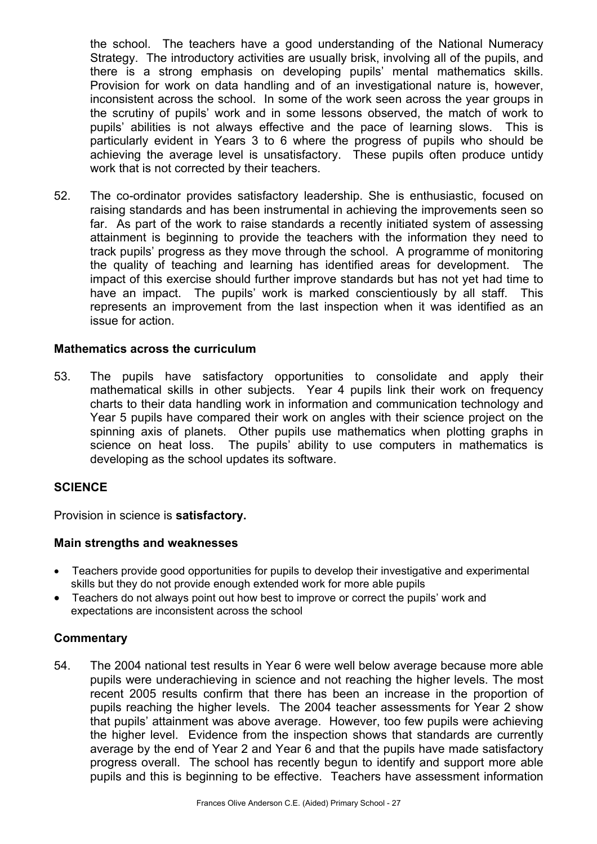the school. The teachers have a good understanding of the National Numeracy Strategy. The introductory activities are usually brisk, involving all of the pupils, and there is a strong emphasis on developing pupils' mental mathematics skills. Provision for work on data handling and of an investigational nature is, however, inconsistent across the school. In some of the work seen across the year groups in the scrutiny of pupils' work and in some lessons observed, the match of work to pupils' abilities is not always effective and the pace of learning slows. This is particularly evident in Years 3 to 6 where the progress of pupils who should be achieving the average level is unsatisfactory. These pupils often produce untidy work that is not corrected by their teachers.

52. The co-ordinator provides satisfactory leadership. She is enthusiastic, focused on raising standards and has been instrumental in achieving the improvements seen so far. As part of the work to raise standards a recently initiated system of assessing attainment is beginning to provide the teachers with the information they need to track pupils' progress as they move through the school. A programme of monitoring the quality of teaching and learning has identified areas for development. The impact of this exercise should further improve standards but has not yet had time to have an impact. The pupils' work is marked conscientiously by all staff. This represents an improvement from the last inspection when it was identified as an issue for action.

### **Mathematics across the curriculum**

53. The pupils have satisfactory opportunities to consolidate and apply their mathematical skills in other subiects. Year 4 pupils link their work on frequency charts to their data handling work in information and communication technology and Year 5 pupils have compared their work on angles with their science project on the spinning axis of planets. Other pupils use mathematics when plotting graphs in science on heat loss. The pupils' ability to use computers in mathematics is developing as the school updates its software.

#### **SCIENCE**

Provision in science is **satisfactory.**

#### **Main strengths and weaknesses**

- Teachers provide good opportunities for pupils to develop their investigative and experimental skills but they do not provide enough extended work for more able pupils
- Teachers do not always point out how best to improve or correct the pupils' work and expectations are inconsistent across the school

#### **Commentary**

54. The 2004 national test results in Year 6 were well below average because more able pupils were underachieving in science and not reaching the higher levels. The most recent 2005 results confirm that there has been an increase in the proportion of pupils reaching the higher levels. The 2004 teacher assessments for Year 2 show that pupils' attainment was above average. However, too few pupils were achieving the higher level. Evidence from the inspection shows that standards are currently average by the end of Year 2 and Year 6 and that the pupils have made satisfactory progress overall. The school has recently begun to identify and support more able pupils and this is beginning to be effective. Teachers have assessment information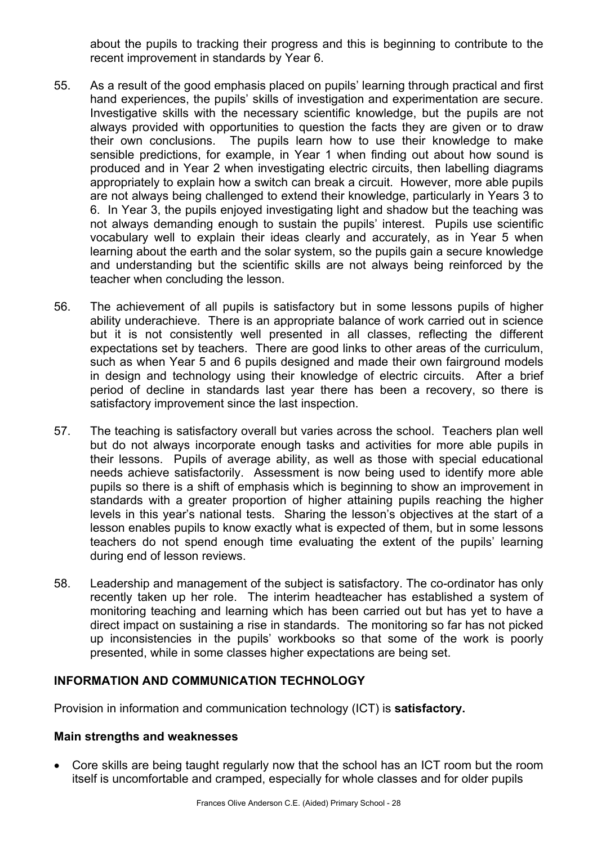about the pupils to tracking their progress and this is beginning to contribute to the recent improvement in standards by Year 6.

- 55. As a result of the good emphasis placed on pupils' learning through practical and first hand experiences, the pupils' skills of investigation and experimentation are secure. Investigative skills with the necessary scientific knowledge, but the pupils are not always provided with opportunities to question the facts they are given or to draw their own conclusions. The pupils learn how to use their knowledge to make sensible predictions, for example, in Year 1 when finding out about how sound is produced and in Year 2 when investigating electric circuits, then labelling diagrams appropriately to explain how a switch can break a circuit. However, more able pupils are not always being challenged to extend their knowledge, particularly in Years 3 to 6. In Year 3, the pupils enjoyed investigating light and shadow but the teaching was not always demanding enough to sustain the pupils' interest. Pupils use scientific vocabulary well to explain their ideas clearly and accurately, as in Year 5 when learning about the earth and the solar system, so the pupils gain a secure knowledge and understanding but the scientific skills are not always being reinforced by the teacher when concluding the lesson.
- 56. The achievement of all pupils is satisfactory but in some lessons pupils of higher ability underachieve. There is an appropriate balance of work carried out in science but it is not consistently well presented in all classes, reflecting the different expectations set by teachers. There are good links to other areas of the curriculum, such as when Year 5 and 6 pupils designed and made their own fairground models in design and technology using their knowledge of electric circuits. After a brief period of decline in standards last year there has been a recovery, so there is satisfactory improvement since the last inspection.
- 57. The teaching is satisfactory overall but varies across the school. Teachers plan well but do not always incorporate enough tasks and activities for more able pupils in their lessons. Pupils of average ability, as well as those with special educational needs achieve satisfactorily. Assessment is now being used to identify more able pupils so there is a shift of emphasis which is beginning to show an improvement in standards with a greater proportion of higher attaining pupils reaching the higher levels in this year's national tests. Sharing the lesson's objectives at the start of a lesson enables pupils to know exactly what is expected of them, but in some lessons teachers do not spend enough time evaluating the extent of the pupils' learning during end of lesson reviews.
- 58. Leadership and management of the subject is satisfactory. The co-ordinator has only recently taken up her role. The interim headteacher has established a system of monitoring teaching and learning which has been carried out but has yet to have a direct impact on sustaining a rise in standards. The monitoring so far has not picked up inconsistencies in the pupils' workbooks so that some of the work is poorly presented, while in some classes higher expectations are being set.

# **INFORMATION AND COMMUNICATION TECHNOLOGY**

Provision in information and communication technology (ICT) is **satisfactory.**

# **Main strengths and weaknesses**

• Core skills are being taught regularly now that the school has an ICT room but the room itself is uncomfortable and cramped, especially for whole classes and for older pupils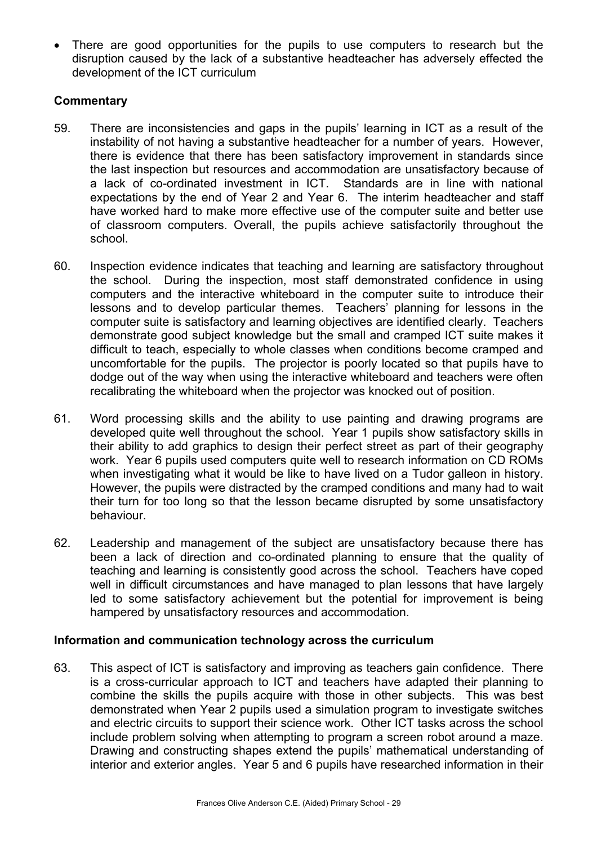• There are good opportunities for the pupils to use computers to research but the disruption caused by the lack of a substantive headteacher has adversely effected the development of the ICT curriculum

# **Commentary**

- 59. There are inconsistencies and gaps in the pupils' learning in ICT as a result of the instability of not having a substantive headteacher for a number of years. However, there is evidence that there has been satisfactory improvement in standards since the last inspection but resources and accommodation are unsatisfactory because of a lack of co-ordinated investment in ICT. Standards are in line with national expectations by the end of Year 2 and Year 6. The interim headteacher and staff have worked hard to make more effective use of the computer suite and better use of classroom computers. Overall, the pupils achieve satisfactorily throughout the school.
- 60. Inspection evidence indicates that teaching and learning are satisfactory throughout the school. During the inspection, most staff demonstrated confidence in using computers and the interactive whiteboard in the computer suite to introduce their lessons and to develop particular themes. Teachers' planning for lessons in the computer suite is satisfactory and learning objectives are identified clearly. Teachers demonstrate good subject knowledge but the small and cramped ICT suite makes it difficult to teach, especially to whole classes when conditions become cramped and uncomfortable for the pupils. The projector is poorly located so that pupils have to dodge out of the way when using the interactive whiteboard and teachers were often recalibrating the whiteboard when the projector was knocked out of position.
- 61. Word processing skills and the ability to use painting and drawing programs are developed quite well throughout the school. Year 1 pupils show satisfactory skills in their ability to add graphics to design their perfect street as part of their geography work. Year 6 pupils used computers quite well to research information on CD ROMs when investigating what it would be like to have lived on a Tudor galleon in history. However, the pupils were distracted by the cramped conditions and many had to wait their turn for too long so that the lesson became disrupted by some unsatisfactory behaviour.
- 62. Leadership and management of the subject are unsatisfactory because there has been a lack of direction and co-ordinated planning to ensure that the quality of teaching and learning is consistently good across the school. Teachers have coped well in difficult circumstances and have managed to plan lessons that have largely led to some satisfactory achievement but the potential for improvement is being hampered by unsatisfactory resources and accommodation.

# **Information and communication technology across the curriculum**

63. This aspect of ICT is satisfactory and improving as teachers gain confidence. There is a cross-curricular approach to ICT and teachers have adapted their planning to combine the skills the pupils acquire with those in other subjects. This was best demonstrated when Year 2 pupils used a simulation program to investigate switches and electric circuits to support their science work. Other ICT tasks across the school include problem solving when attempting to program a screen robot around a maze. Drawing and constructing shapes extend the pupils' mathematical understanding of interior and exterior angles. Year 5 and 6 pupils have researched information in their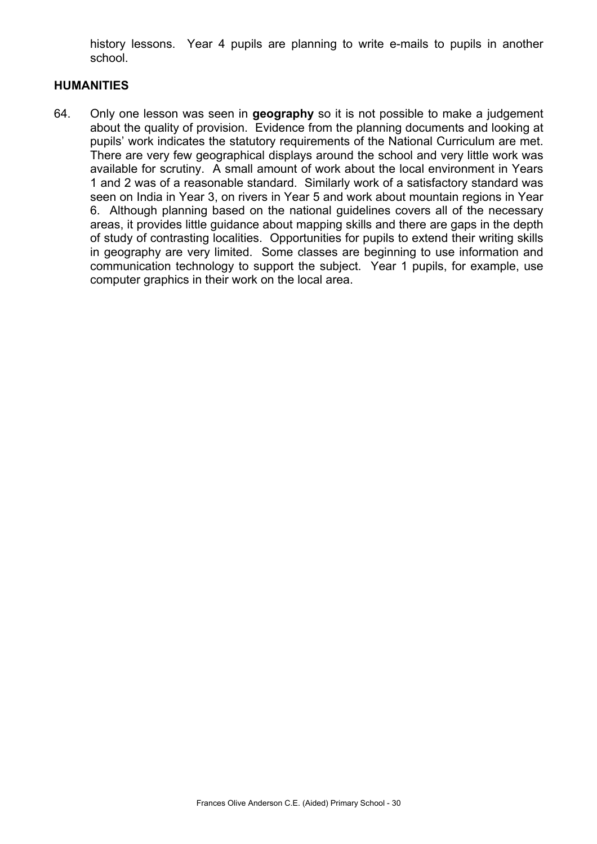history lessons. Year 4 pupils are planning to write e-mails to pupils in another school.

### **HUMANITIES**

64. Only one lesson was seen in **geography** so it is not possible to make a judgement about the quality of provision. Evidence from the planning documents and looking at pupils' work indicates the statutory requirements of the National Curriculum are met. There are very few geographical displays around the school and very little work was available for scrutiny. A small amount of work about the local environment in Years 1 and 2 was of a reasonable standard. Similarly work of a satisfactory standard was seen on India in Year 3, on rivers in Year 5 and work about mountain regions in Year 6. Although planning based on the national guidelines covers all of the necessary areas, it provides little guidance about mapping skills and there are gaps in the depth of study of contrasting localities. Opportunities for pupils to extend their writing skills in geography are very limited. Some classes are beginning to use information and communication technology to support the subject. Year 1 pupils, for example, use computer graphics in their work on the local area.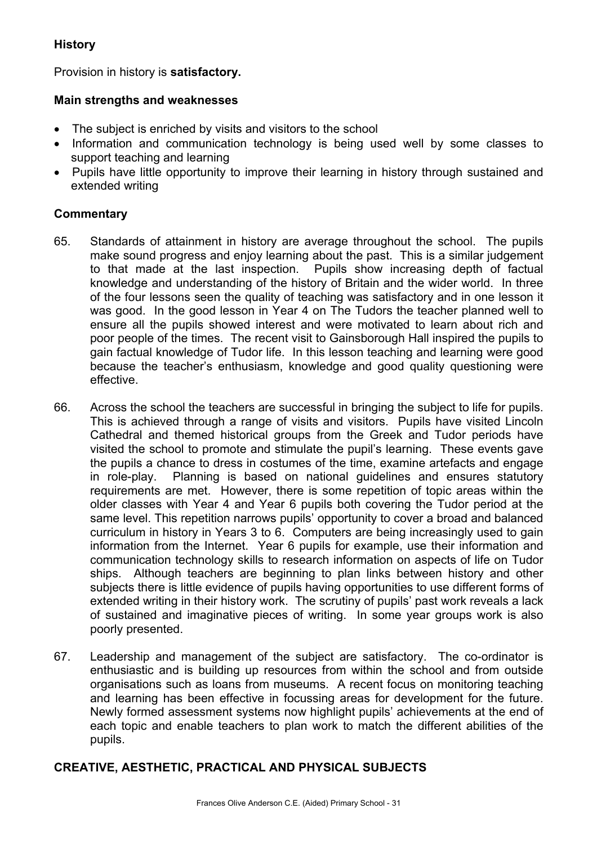# **History**

Provision in history is **satisfactory.**

# **Main strengths and weaknesses**

- The subject is enriched by visits and visitors to the school
- Information and communication technology is being used well by some classes to support teaching and learning
- Pupils have little opportunity to improve their learning in history through sustained and extended writing

# **Commentary**

- 65. Standards of attainment in history are average throughout the school. The pupils make sound progress and enjoy learning about the past. This is a similar judgement to that made at the last inspection. Pupils show increasing depth of factual knowledge and understanding of the history of Britain and the wider world. In three of the four lessons seen the quality of teaching was satisfactory and in one lesson it was good. In the good lesson in Year 4 on The Tudors the teacher planned well to ensure all the pupils showed interest and were motivated to learn about rich and poor people of the times. The recent visit to Gainsborough Hall inspired the pupils to gain factual knowledge of Tudor life. In this lesson teaching and learning were good because the teacher's enthusiasm, knowledge and good quality questioning were effective.
- 66. Across the school the teachers are successful in bringing the subject to life for pupils. This is achieved through a range of visits and visitors. Pupils have visited Lincoln Cathedral and themed historical groups from the Greek and Tudor periods have visited the school to promote and stimulate the pupil's learning. These events gave the pupils a chance to dress in costumes of the time, examine artefacts and engage in role-play. Planning is based on national guidelines and ensures statutory requirements are met. However, there is some repetition of topic areas within the older classes with Year 4 and Year 6 pupils both covering the Tudor period at the same level. This repetition narrows pupils' opportunity to cover a broad and balanced curriculum in history in Years 3 to 6. Computers are being increasingly used to gain information from the Internet. Year 6 pupils for example, use their information and communication technology skills to research information on aspects of life on Tudor ships. Although teachers are beginning to plan links between history and other subjects there is little evidence of pupils having opportunities to use different forms of extended writing in their history work. The scrutiny of pupils' past work reveals a lack of sustained and imaginative pieces of writing. In some year groups work is also poorly presented.
- 67. Leadership and management of the subject are satisfactory. The co-ordinator is enthusiastic and is building up resources from within the school and from outside organisations such as loans from museums. A recent focus on monitoring teaching and learning has been effective in focussing areas for development for the future. Newly formed assessment systems now highlight pupils' achievements at the end of each topic and enable teachers to plan work to match the different abilities of the pupils.

# **CREATIVE, AESTHETIC, PRACTICAL AND PHYSICAL SUBJECTS**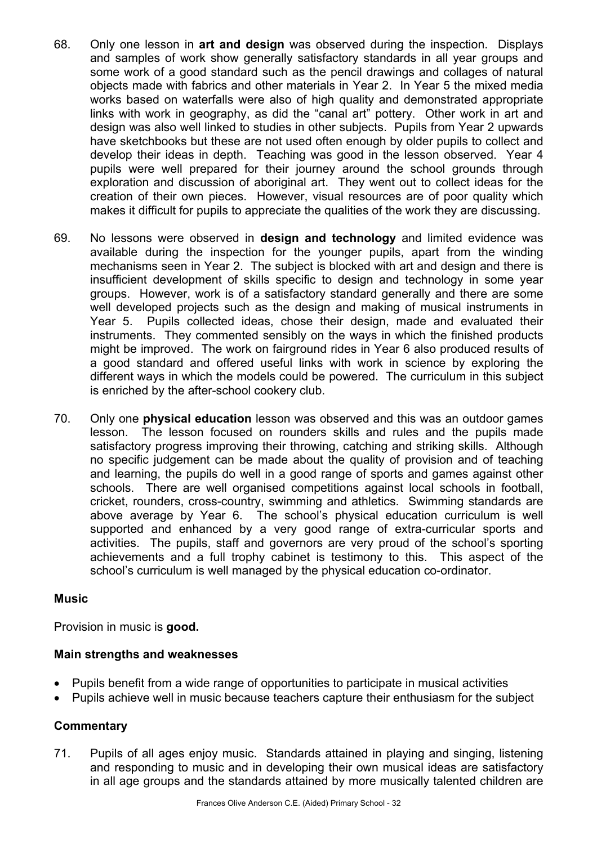- 68. Only one lesson in **art and design** was observed during the inspection. Displays and samples of work show generally satisfactory standards in all year groups and some work of a good standard such as the pencil drawings and collages of natural objects made with fabrics and other materials in Year 2. In Year 5 the mixed media works based on waterfalls were also of high quality and demonstrated appropriate links with work in geography, as did the "canal art" pottery. Other work in art and design was also well linked to studies in other subjects. Pupils from Year 2 upwards have sketchbooks but these are not used often enough by older pupils to collect and develop their ideas in depth. Teaching was good in the lesson observed. Year 4 pupils were well prepared for their journey around the school grounds through exploration and discussion of aboriginal art. They went out to collect ideas for the creation of their own pieces. However, visual resources are of poor quality which makes it difficult for pupils to appreciate the qualities of the work they are discussing.
- 69. No lessons were observed in **design and technology** and limited evidence was available during the inspection for the younger pupils, apart from the winding mechanisms seen in Year 2. The subject is blocked with art and design and there is insufficient development of skills specific to design and technology in some year groups. However, work is of a satisfactory standard generally and there are some well developed projects such as the design and making of musical instruments in Year 5. Pupils collected ideas, chose their design, made and evaluated their instruments. They commented sensibly on the ways in which the finished products might be improved. The work on fairground rides in Year 6 also produced results of a good standard and offered useful links with work in science by exploring the different ways in which the models could be powered. The curriculum in this subject is enriched by the after-school cookery club.
- 70. Only one **physical education** lesson was observed and this was an outdoor games lesson. The lesson focused on rounders skills and rules and the pupils made satisfactory progress improving their throwing, catching and striking skills. Although no specific judgement can be made about the quality of provision and of teaching and learning, the pupils do well in a good range of sports and games against other schools. There are well organised competitions against local schools in football, cricket, rounders, cross-country, swimming and athletics. Swimming standards are above average by Year 6. The school's physical education curriculum is well supported and enhanced by a very good range of extra-curricular sports and activities. The pupils, staff and governors are very proud of the school's sporting achievements and a full trophy cabinet is testimony to this. This aspect of the school's curriculum is well managed by the physical education co-ordinator.

# **Music**

Provision in music is **good.**

# **Main strengths and weaknesses**

- Pupils benefit from a wide range of opportunities to participate in musical activities
- Pupils achieve well in music because teachers capture their enthusiasm for the subject

# **Commentary**

71. Pupils of all ages enjoy music. Standards attained in playing and singing, listening and responding to music and in developing their own musical ideas are satisfactory in all age groups and the standards attained by more musically talented children are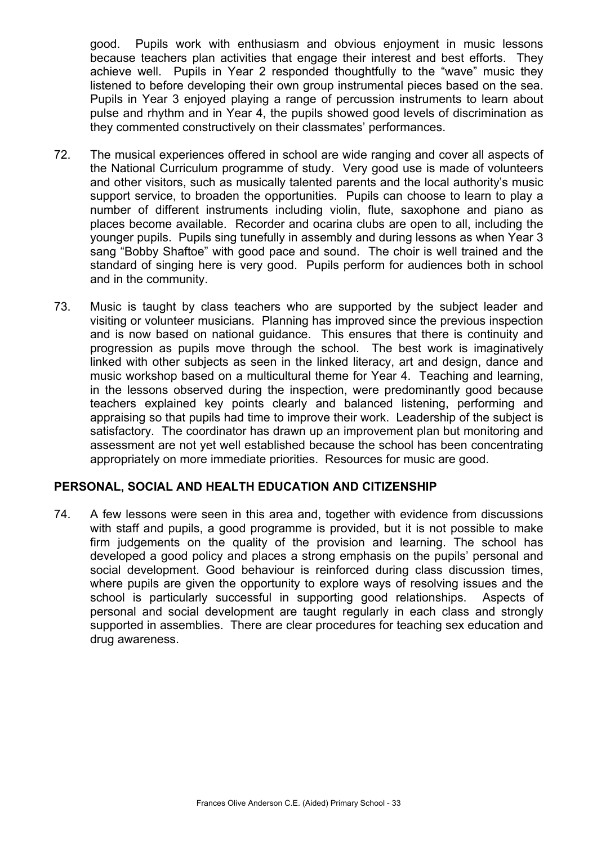good. Pupils work with enthusiasm and obvious enjoyment in music lessons because teachers plan activities that engage their interest and best efforts. They achieve well. Pupils in Year 2 responded thoughtfully to the "wave" music they listened to before developing their own group instrumental pieces based on the sea. Pupils in Year 3 enjoyed playing a range of percussion instruments to learn about pulse and rhythm and in Year 4, the pupils showed good levels of discrimination as they commented constructively on their classmates' performances.

- 72. The musical experiences offered in school are wide ranging and cover all aspects of the National Curriculum programme of study. Very good use is made of volunteers and other visitors, such as musically talented parents and the local authority's music support service, to broaden the opportunities. Pupils can choose to learn to play a number of different instruments including violin, flute, saxophone and piano as places become available. Recorder and ocarina clubs are open to all, including the younger pupils. Pupils sing tunefully in assembly and during lessons as when Year 3 sang "Bobby Shaftoe" with good pace and sound. The choir is well trained and the standard of singing here is very good. Pupils perform for audiences both in school and in the community.
- 73. Music is taught by class teachers who are supported by the subject leader and visiting or volunteer musicians. Planning has improved since the previous inspection and is now based on national guidance. This ensures that there is continuity and progression as pupils move through the school. The best work is imaginatively linked with other subjects as seen in the linked literacy, art and design, dance and music workshop based on a multicultural theme for Year 4. Teaching and learning, in the lessons observed during the inspection, were predominantly good because teachers explained key points clearly and balanced listening, performing and appraising so that pupils had time to improve their work. Leadership of the subject is satisfactory. The coordinator has drawn up an improvement plan but monitoring and assessment are not yet well established because the school has been concentrating appropriately on more immediate priorities. Resources for music are good.

# **PERSONAL, SOCIAL AND HEALTH EDUCATION AND CITIZENSHIP**

74. A few lessons were seen in this area and, together with evidence from discussions with staff and pupils, a good programme is provided, but it is not possible to make firm judgements on the quality of the provision and learning. The school has developed a good policy and places a strong emphasis on the pupils' personal and social development. Good behaviour is reinforced during class discussion times, where pupils are given the opportunity to explore ways of resolving issues and the school is particularly successful in supporting good relationships. Aspects of personal and social development are taught regularly in each class and strongly supported in assemblies. There are clear procedures for teaching sex education and drug awareness.